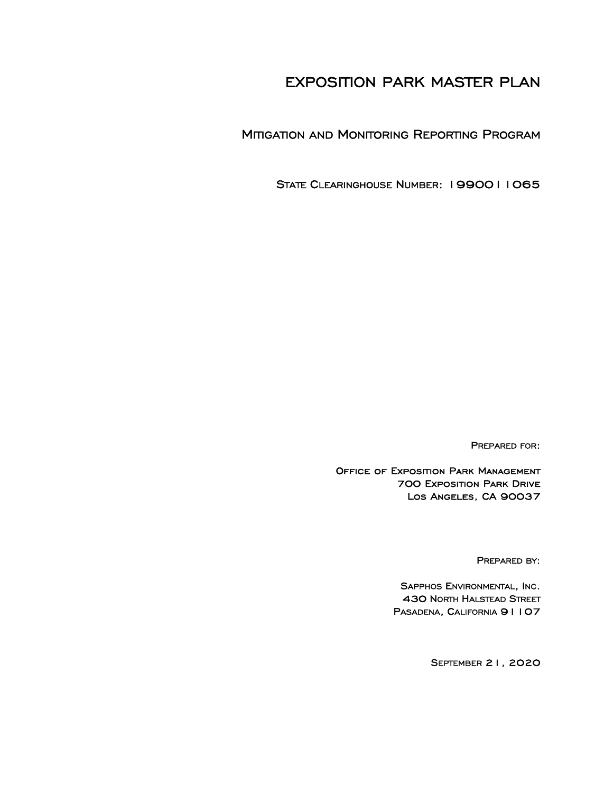# EXPOSITION PARK MASTER PLAN

MITIGATION AND MONITORING REPORTING PROGRAM

STATE CLEARINGHOUSE NUMBER: 1990011065

PREPARED FOR:

Office of Exposition Park Management 700 Exposition Park Drive Los Angeles, CA 90037

PREPARED BY:

SAPPHOS ENVIRONMENTAL, INC. 430 NORTH HALSTEAD STREET PASADENA, CALIFORNIA 91107

SEPTEMBER 21, 2020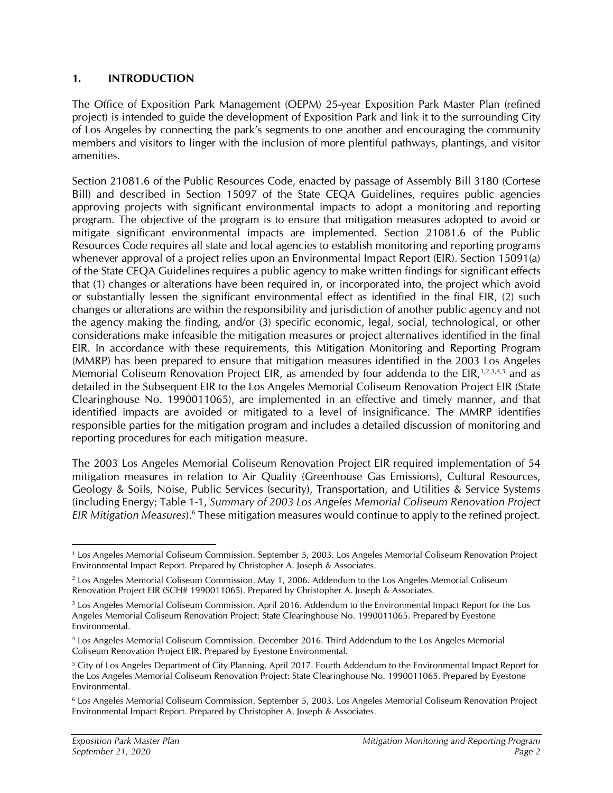#### **1. INTRODUCTION**

The Office of Exposition Park Management (OEPM) 25-year Exposition Park Master Plan (refined project) is intended to guide the development of Exposition Park and link it to the surrounding City of Los Angeles by connecting the park's segments to one another and encouraging the community members and visitors to linger with the inclusion of more plentiful pathways, plantings, and visitor amenities.

Section 21081.6 of the Public Resources Code, enacted by passage of Assembly Bill 3180 (Cortese Bill) and described in Section 15097 of the State CEQA Guidelines, requires public agencies approving projects with significant environmental impacts to adopt a monitoring and reporting program. The objective of the program is to ensure that mitigation measures adopted to avoid or mitigate significant environmental impacts are implemented. Section 21081.6 of the Public Resources Code requires all state and local agencies to establish monitoring and reporting programs whenever approval of a project relies upon an Environmental Impact Report (EIR). Section 15091(a) of the State CEQA Guidelines requires a public agency to make written findings for significant effects that (1) changes or alterations have been required in, or incorporated into, the project which avoid or substantially lessen the significant environmental effect as identified in the final EIR, (2) such changes or alterations are within the responsibility and jurisdiction of another public agency and not the agency making the finding, and/or (3) specific economic, legal, social, technological, or other considerations make infeasible the mitigation measures or project alternatives identified in the final EIR. In accordance with these requirements, this Mitigation Monitoring and Reporting Program (MMRP) has been prepared to ensure that mitigation measures identified in the 2003 Los Angeles Memorial Coliseum Renovation Project EIR, as amended by four addenda to the EIR,<sup>1,2,3,4,5</sup> and as detailed in the Subsequent EIR to the Los Angeles Memorial Coliseum Renovation Project EIR (State Clearinghouse No. 1990011065), are implemented in an effective and timely manner, and that identified impacts are avoided or mitigated to a level of insignificance. The MMRP identifies responsible parties for the mitigation program and includes a detailed discussion of monitoring and reporting procedures for each mitigation measure.

The 2003 Los Angeles Memorial Coliseum Renovation Project EIR required implementation of 54 mitigation measures in relation to Air Quality (Greenhouse Gas Emissions), Cultural Resources, Geology & Soils, Noise, Public Services (security), Transportation, and Utilities & Service Systems (including Energy; Table 1-1, *Summary of 2003 Los Angeles Memorial Coliseum Renovation Project*  EIR Mitigation Measures).<sup>6</sup> These mitigation measures would continue to apply to the refined project.

<sup>1</sup> Los Angeles Memorial Coliseum Commission. September 5, 2003. Los Angeles Memorial Coliseum Renovation Project Environmental Impact Report. Prepared by Christopher A. Joseph & Associates.

<sup>2</sup> Los Angeles Memorial Coliseum Commission. May 1, 2006. Addendum to the Los Angeles Memorial Coliseum Renovation Project EIR (SCH# 1990011065). Prepared by Christopher A. Joseph & Associates.

<sup>&</sup>lt;sup>3</sup> Los Angeles Memorial Coliseum Commission. April 2016. Addendum to the Environmental Impact Report for the Los Angeles Memorial Coliseum Renovation Project: State Clearinghouse No. 1990011065. Prepared by Eyestone Environmental.

<sup>4</sup> Los Angeles Memorial Coliseum Commission. December 2016. Third Addendum to the Los Angeles Memorial Coliseum Renovation Project EIR. Prepared by Eyestone Environmental.

<sup>&</sup>lt;sup>5</sup> City of Los Angeles Department of City Planning. April 2017. Fourth Addendum to the Environmental Impact Report for the Los Angeles Memorial Coliseum Renovation Project: State Clearinghouse No. 1990011065. Prepared by Eyestone Environmental.

<sup>6</sup> Los Angeles Memorial Coliseum Commission. September 5, 2003. Los Angeles Memorial Coliseum Renovation Project Environmental Impact Report. Prepared by Christopher A. Joseph & Associates.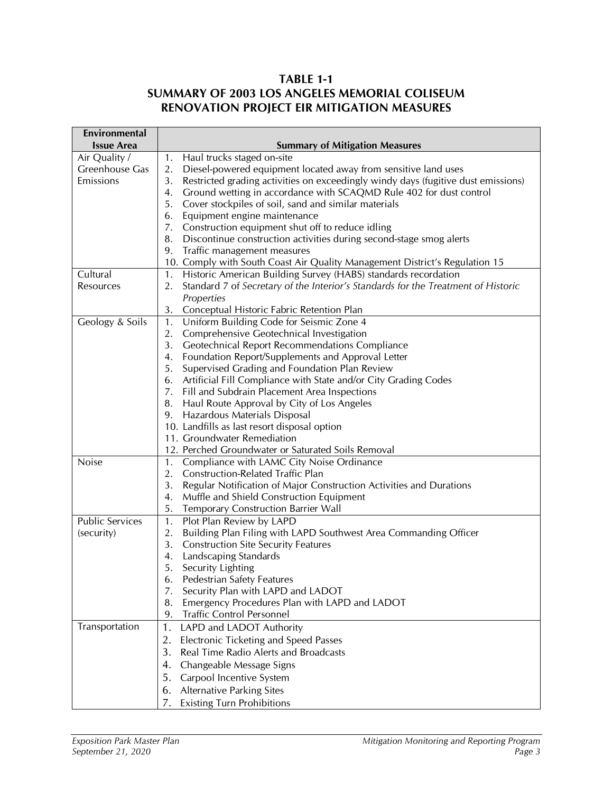## **TABLE 1-1 SUMMARY OF 2003 LOS ANGELES MEMORIAL COLISEUM RENOVATION PROJECT EIR MITIGATION MEASURES**

| Environmental          |                                                                                         |  |  |  |  |  |  |  |
|------------------------|-----------------------------------------------------------------------------------------|--|--|--|--|--|--|--|
| <b>Issue Area</b>      | <b>Summary of Mitigation Measures</b>                                                   |  |  |  |  |  |  |  |
| Air Quality /          | Haul trucks staged on-site<br>1.                                                        |  |  |  |  |  |  |  |
| Greenhouse Gas         | Diesel-powered equipment located away from sensitive land uses<br>2.                    |  |  |  |  |  |  |  |
| Emissions              | Restricted grading activities on exceedingly windy days (fugitive dust emissions)<br>3. |  |  |  |  |  |  |  |
|                        | Ground wetting in accordance with SCAQMD Rule 402 for dust control<br>4.                |  |  |  |  |  |  |  |
|                        | Cover stockpiles of soil, sand and similar materials<br>5.                              |  |  |  |  |  |  |  |
|                        | Equipment engine maintenance<br>6.                                                      |  |  |  |  |  |  |  |
|                        | Construction equipment shut off to reduce idling<br>7.                                  |  |  |  |  |  |  |  |
|                        | Discontinue construction activities during second-stage smog alerts<br>8.               |  |  |  |  |  |  |  |
|                        | Traffic management measures<br>9.                                                       |  |  |  |  |  |  |  |
|                        | 10. Comply with South Coast Air Quality Management District's Regulation 15             |  |  |  |  |  |  |  |
| Cultural               | Historic American Building Survey (HABS) standards recordation<br>1.                    |  |  |  |  |  |  |  |
| Resources              | Standard 7 of Secretary of the Interior's Standards for the Treatment of Historic<br>2. |  |  |  |  |  |  |  |
|                        | Properties                                                                              |  |  |  |  |  |  |  |
|                        | Conceptual Historic Fabric Retention Plan<br>3.                                         |  |  |  |  |  |  |  |
| Geology & Soils        | Uniform Building Code for Seismic Zone 4<br>1.                                          |  |  |  |  |  |  |  |
|                        | Comprehensive Geotechnical Investigation<br>2.                                          |  |  |  |  |  |  |  |
|                        | 3.<br>Geotechnical Report Recommendations Compliance                                    |  |  |  |  |  |  |  |
|                        | Foundation Report/Supplements and Approval Letter<br>4.                                 |  |  |  |  |  |  |  |
|                        | Supervised Grading and Foundation Plan Review<br>5.                                     |  |  |  |  |  |  |  |
|                        | 6. Artificial Fill Compliance with State and/or City Grading Codes                      |  |  |  |  |  |  |  |
|                        | Fill and Subdrain Placement Area Inspections<br>7.                                      |  |  |  |  |  |  |  |
|                        | Haul Route Approval by City of Los Angeles<br>8.                                        |  |  |  |  |  |  |  |
|                        | Hazardous Materials Disposal<br>9.                                                      |  |  |  |  |  |  |  |
|                        | 10. Landfills as last resort disposal option                                            |  |  |  |  |  |  |  |
|                        | 11. Groundwater Remediation                                                             |  |  |  |  |  |  |  |
|                        | 12. Perched Groundwater or Saturated Soils Removal                                      |  |  |  |  |  |  |  |
| <b>Noise</b>           | Compliance with LAMC City Noise Ordinance<br>1.                                         |  |  |  |  |  |  |  |
|                        | 2.<br>Construction-Related Traffic Plan                                                 |  |  |  |  |  |  |  |
|                        | Regular Notification of Major Construction Activities and Durations<br>3.               |  |  |  |  |  |  |  |
|                        | Muffle and Shield Construction Equipment<br>4.                                          |  |  |  |  |  |  |  |
|                        | 5.<br><b>Temporary Construction Barrier Wall</b>                                        |  |  |  |  |  |  |  |
| <b>Public Services</b> | Plot Plan Review by LAPD<br>1.                                                          |  |  |  |  |  |  |  |
| (security)             | Building Plan Filing with LAPD Southwest Area Commanding Officer<br>2.                  |  |  |  |  |  |  |  |
|                        | 3.<br><b>Construction Site Security Features</b>                                        |  |  |  |  |  |  |  |
|                        | Landscaping Standards<br>4.                                                             |  |  |  |  |  |  |  |
|                        | Security Lighting<br>5.                                                                 |  |  |  |  |  |  |  |
|                        | <b>Pedestrian Safety Features</b><br>6.                                                 |  |  |  |  |  |  |  |
|                        | Security Plan with LAPD and LADOT<br>7.                                                 |  |  |  |  |  |  |  |
|                        | Emergency Procedures Plan with LAPD and LADOT<br>8.                                     |  |  |  |  |  |  |  |
|                        | <b>Traffic Control Personnel</b><br>9.                                                  |  |  |  |  |  |  |  |
| Transportation         | 1.<br>LAPD and LADOT Authority                                                          |  |  |  |  |  |  |  |
|                        | 2.<br>Electronic Ticketing and Speed Passes                                             |  |  |  |  |  |  |  |
|                        | 3.<br>Real Time Radio Alerts and Broadcasts                                             |  |  |  |  |  |  |  |
|                        | Changeable Message Signs<br>4.                                                          |  |  |  |  |  |  |  |
|                        | 5.<br>Carpool Incentive System                                                          |  |  |  |  |  |  |  |
|                        | <b>Alternative Parking Sites</b><br>6.                                                  |  |  |  |  |  |  |  |
|                        | <b>Existing Turn Prohibitions</b><br>7.                                                 |  |  |  |  |  |  |  |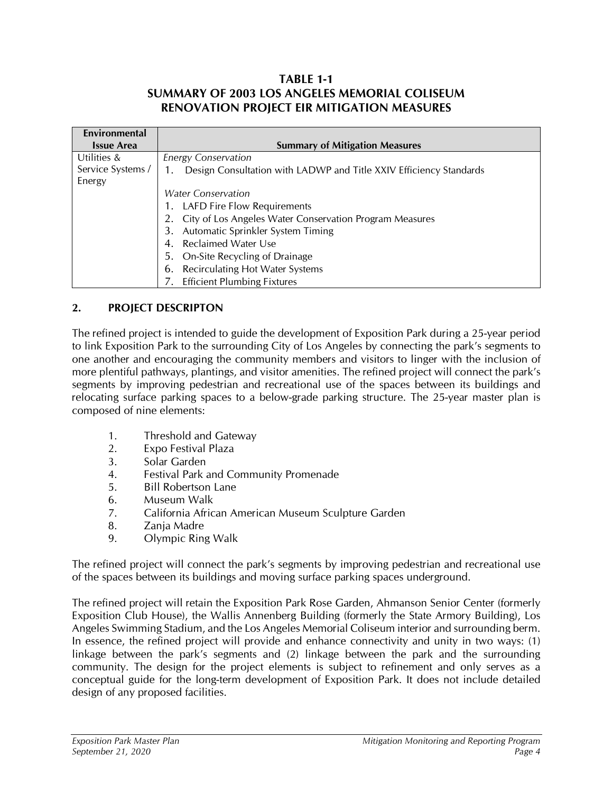## **TABLE 1-1 SUMMARY OF 2003 LOS ANGELES MEMORIAL COLISEUM RENOVATION PROJECT EIR MITIGATION MEASURES**

| Environmental     |                                                                    |
|-------------------|--------------------------------------------------------------------|
| <b>Issue Area</b> | <b>Summary of Mitigation Measures</b>                              |
| Utilities &       | <b>Energy Conservation</b>                                         |
| Service Systems / | Design Consultation with LADWP and Title XXIV Efficiency Standards |
| Energy            |                                                                    |
|                   | <i>Water Conservation</i>                                          |
|                   | 1. LAFD Fire Flow Requirements                                     |
|                   | 2. City of Los Angeles Water Conservation Program Measures         |
|                   | Automatic Sprinkler System Timing<br>3.                            |
|                   | 4. Reclaimed Water Use                                             |
|                   | 5. On-Site Recycling of Drainage                                   |
|                   | 6. Recirculating Hot Water Systems                                 |
|                   | <b>Efficient Plumbing Fixtures</b>                                 |

## **2. PROJECT DESCRIPTON**

The refined project is intended to guide the development of Exposition Park during a 25-year period to link Exposition Park to the surrounding City of Los Angeles by connecting the park's segments to one another and encouraging the community members and visitors to linger with the inclusion of more plentiful pathways, plantings, and visitor amenities. The refined project will connect the park's segments by improving pedestrian and recreational use of the spaces between its buildings and relocating surface parking spaces to a below-grade parking structure. The 25-year master plan is composed of nine elements:

- 1. Threshold and Gateway
- 2. Expo Festival Plaza
- 3. Solar Garden
- 4. Festival Park and Community Promenade
- 5. Bill Robertson Lane
- 6. Museum Walk
- 7. California African American Museum Sculpture Garden
- 8. Zanja Madre
- 9. Olympic Ring Walk

The refined project will connect the park's segments by improving pedestrian and recreational use of the spaces between its buildings and moving surface parking spaces underground.

The refined project will retain the Exposition Park Rose Garden, Ahmanson Senior Center (formerly Exposition Club House), the Wallis Annenberg Building (formerly the State Armory Building), Los Angeles Swimming Stadium, and the Los Angeles Memorial Coliseum interior and surrounding berm. In essence, the refined project will provide and enhance connectivity and unity in two ways: (1) linkage between the park's segments and (2) linkage between the park and the surrounding community. The design for the project elements is subject to refinement and only serves as a conceptual guide for the long-term development of Exposition Park. It does not include detailed design of any proposed facilities.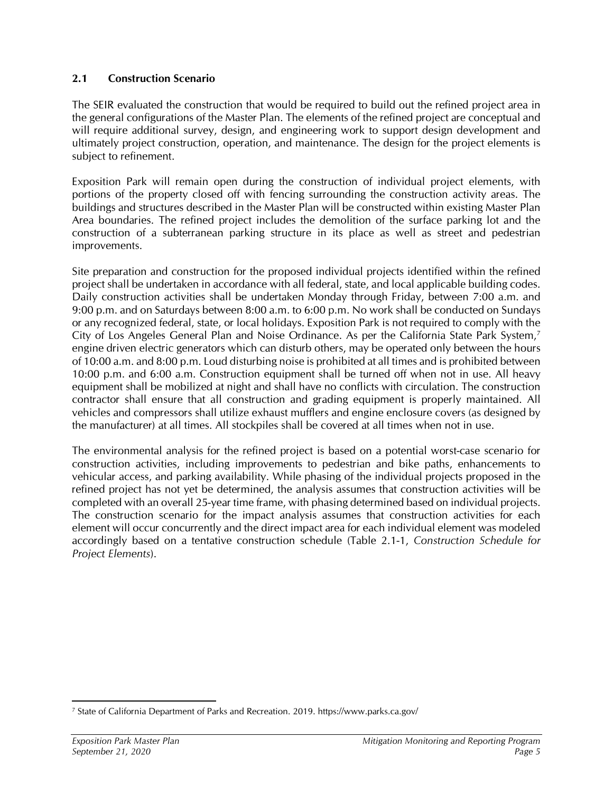## **2.1 Construction Scenario**

The SEIR evaluated the construction that would be required to build out the refined project area in the general configurations of the Master Plan. The elements of the refined project are conceptual and will require additional survey, design, and engineering work to support design development and ultimately project construction, operation, and maintenance. The design for the project elements is subject to refinement.

Exposition Park will remain open during the construction of individual project elements, with portions of the property closed off with fencing surrounding the construction activity areas. The buildings and structures described in the Master Plan will be constructed within existing Master Plan Area boundaries. The refined project includes the demolition of the surface parking lot and the construction of a subterranean parking structure in its place as well as street and pedestrian improvements.

Site preparation and construction for the proposed individual projects identified within the refined project shall be undertaken in accordance with all federal, state, and local applicable building codes. Daily construction activities shall be undertaken Monday through Friday, between 7:00 a.m. and 9:00 p.m. and on Saturdays between 8:00 a.m. to 6:00 p.m. No work shall be conducted on Sundays or any recognized federal, state, or local holidays. Exposition Park is not required to comply with the City of Los Angeles General Plan and Noise Ordinance. As per the California State Park System,<sup>7</sup> engine driven electric generators which can disturb others, may be operated only between the hours of 10:00 a.m. and 8:00 p.m. Loud disturbing noise is prohibited at all times and is prohibited between 10:00 p.m. and 6:00 a.m. Construction equipment shall be turned off when not in use. All heavy equipment shall be mobilized at night and shall have no conflicts with circulation. The construction contractor shall ensure that all construction and grading equipment is properly maintained. All vehicles and compressors shall utilize exhaust mufflers and engine enclosure covers (as designed by the manufacturer) at all times. All stockpiles shall be covered at all times when not in use.

The environmental analysis for the refined project is based on a potential worst-case scenario for construction activities, including improvements to pedestrian and bike paths, enhancements to vehicular access, and parking availability. While phasing of the individual projects proposed in the refined project has not yet be determined, the analysis assumes that construction activities will be completed with an overall 25-year time frame, with phasing determined based on individual projects. The construction scenario for the impact analysis assumes that construction activities for each element will occur concurrently and the direct impact area for each individual element was modeled accordingly based on a tentative construction schedule (Table 2.1-1, *Construction Schedule for Project Elements*).

<sup>7</sup> State of California Department of Parks and Recreation. 2019. https://www.parks.ca.gov/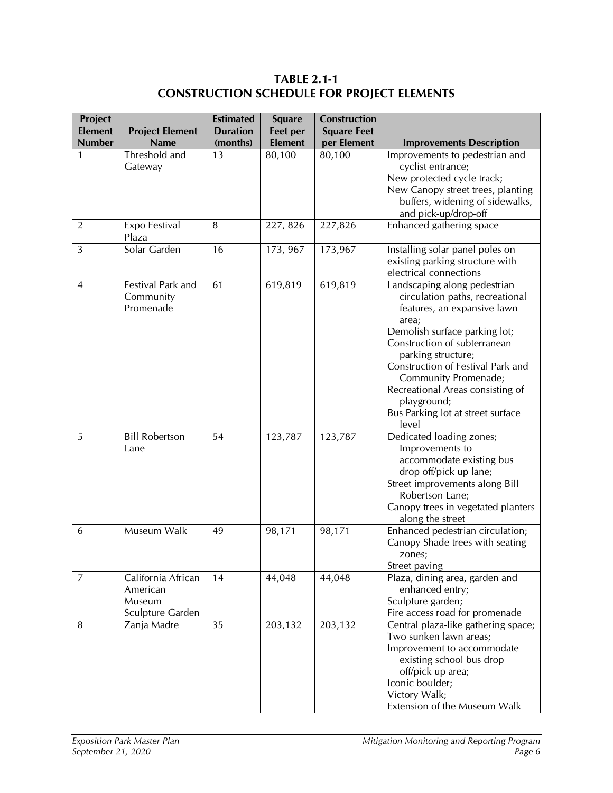**TABLE 2.1-1 CONSTRUCTION SCHEDULE FOR PROJECT ELEMENTS**

| Project<br><b>Element</b> | <b>Project Element</b>                                       | <b>Estimated</b><br><b>Duration</b> | <b>Square</b><br><b>Feet per</b> | <b>Construction</b><br><b>Square Feet</b> |                                                                                                                                                                                                                                                                                                                                                              |
|---------------------------|--------------------------------------------------------------|-------------------------------------|----------------------------------|-------------------------------------------|--------------------------------------------------------------------------------------------------------------------------------------------------------------------------------------------------------------------------------------------------------------------------------------------------------------------------------------------------------------|
| <b>Number</b>             | <b>Name</b>                                                  | (months)                            | <b>Element</b>                   | per Element                               | <b>Improvements Description</b>                                                                                                                                                                                                                                                                                                                              |
| 1                         | Threshold and<br>Gateway                                     | 13                                  | 80,100                           | 80,100                                    | Improvements to pedestrian and<br>cyclist entrance;<br>New protected cycle track;<br>New Canopy street trees, planting<br>buffers, widening of sidewalks,                                                                                                                                                                                                    |
| $\overline{2}$            | Expo Festival<br>Plaza                                       | 8                                   | 227, 826                         | 227,826                                   | and pick-up/drop-off<br>Enhanced gathering space                                                                                                                                                                                                                                                                                                             |
| 3                         | Solar Garden                                                 | 16                                  | 173, 967                         | 173,967                                   | Installing solar panel poles on<br>existing parking structure with<br>electrical connections                                                                                                                                                                                                                                                                 |
| $\overline{4}$            | Festival Park and<br>Community<br>Promenade                  | 61                                  | 619,819                          | 619,819                                   | Landscaping along pedestrian<br>circulation paths, recreational<br>features, an expansive lawn<br>area;<br>Demolish surface parking lot;<br>Construction of subterranean<br>parking structure;<br>Construction of Festival Park and<br>Community Promenade;<br>Recreational Areas consisting of<br>playground;<br>Bus Parking lot at street surface<br>level |
| 5                         | <b>Bill Robertson</b><br>Lane                                | 54                                  | 123,787                          | 123,787                                   | Dedicated loading zones;<br>Improvements to<br>accommodate existing bus<br>drop off/pick up lane;<br>Street improvements along Bill<br>Robertson Lane;<br>Canopy trees in vegetated planters<br>along the street                                                                                                                                             |
| 6                         | Museum Walk                                                  | 49                                  | 98,171                           | 98,171                                    | Enhanced pedestrian circulation;<br>Canopy Shade trees with seating<br>zones;<br>Street paving                                                                                                                                                                                                                                                               |
| $\overline{7}$            | California African<br>American<br>Museum<br>Sculpture Garden | 14                                  | 44,048                           | 44,048                                    | Plaza, dining area, garden and<br>enhanced entry;<br>Sculpture garden;<br>Fire access road for promenade                                                                                                                                                                                                                                                     |
| 8                         | Zanja Madre                                                  | 35                                  | 203,132                          | 203,132                                   | Central plaza-like gathering space;<br>Two sunken lawn areas;<br>Improvement to accommodate<br>existing school bus drop<br>off/pick up area;<br>Iconic boulder;<br>Victory Walk;<br>Extension of the Museum Walk                                                                                                                                             |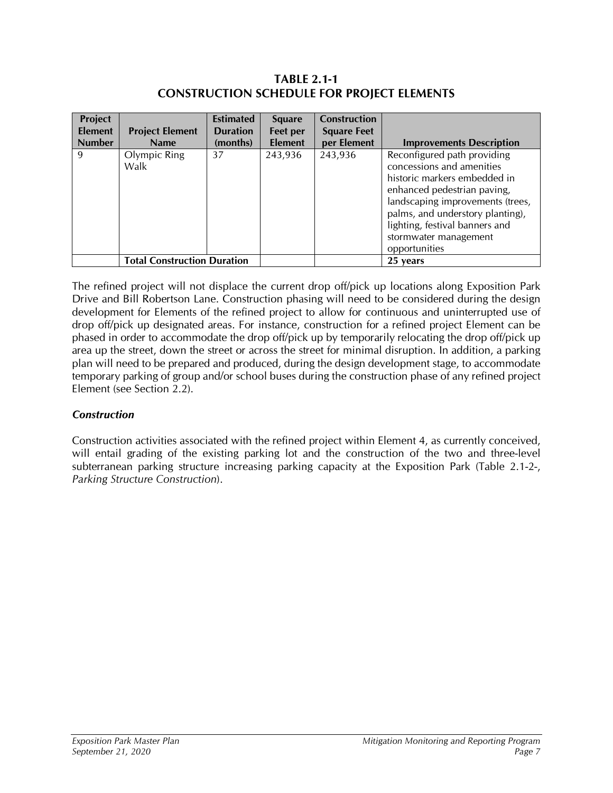## **TABLE 2.1-1 CONSTRUCTION SCHEDULE FOR PROJECT ELEMENTS**

| Project        |                                    | <b>Estimated</b> | <b>Square</b>  | <b>Construction</b> |                                                                                                                                                                                                                                                                             |
|----------------|------------------------------------|------------------|----------------|---------------------|-----------------------------------------------------------------------------------------------------------------------------------------------------------------------------------------------------------------------------------------------------------------------------|
| <b>Element</b> | <b>Project Element</b>             | <b>Duration</b>  | Feet per       | <b>Square Feet</b>  |                                                                                                                                                                                                                                                                             |
| <b>Number</b>  | <b>Name</b>                        | (months)         | <b>Element</b> | per Element         | <b>Improvements Description</b>                                                                                                                                                                                                                                             |
| 9              | Olympic Ring<br>Walk               | 37               | 243,936        | 243,936             | Reconfigured path providing<br>concessions and amenities<br>historic markers embedded in<br>enhanced pedestrian paving,<br>landscaping improvements (trees,<br>palms, and understory planting),<br>lighting, festival banners and<br>stormwater management<br>opportunities |
|                | <b>Total Construction Duration</b> |                  |                |                     | 25 years                                                                                                                                                                                                                                                                    |

The refined project will not displace the current drop off/pick up locations along Exposition Park Drive and Bill Robertson Lane. Construction phasing will need to be considered during the design development for Elements of the refined project to allow for continuous and uninterrupted use of drop off/pick up designated areas. For instance, construction for a refined project Element can be phased in order to accommodate the drop off/pick up by temporarily relocating the drop off/pick up area up the street, down the street or across the street for minimal disruption. In addition, a parking plan will need to be prepared and produced, during the design development stage, to accommodate temporary parking of group and/or school buses during the construction phase of any refined project Element (see Section 2.2).

## *Construction*

Construction activities associated with the refined project within Element 4, as currently conceived, will entail grading of the existing parking lot and the construction of the two and three-level subterranean parking structure increasing parking capacity at the Exposition Park (Table 2.1-2-, *Parking Structure Construction*).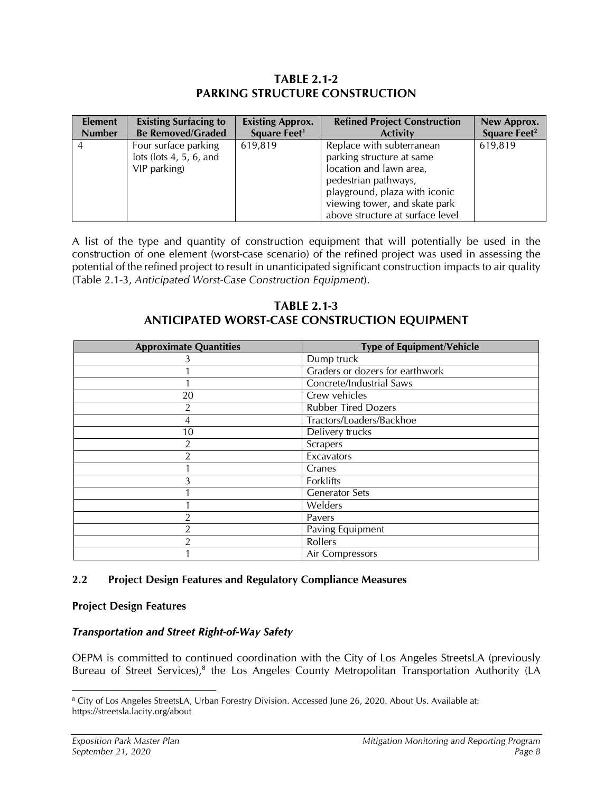## **TABLE 2.1-2 PARKING STRUCTURE CONSTRUCTION**

| <b>Element</b> | <b>Existing Surfacing to</b>                                    | <b>Existing Approx.</b>  | <b>Refined Project Construction</b>                                                                                                                                                                             | New Approx.              |
|----------------|-----------------------------------------------------------------|--------------------------|-----------------------------------------------------------------------------------------------------------------------------------------------------------------------------------------------------------------|--------------------------|
| <b>Number</b>  | <b>Be Removed/Graded</b>                                        | Square Feet <sup>1</sup> | <b>Activity</b>                                                                                                                                                                                                 | Square Feet <sup>2</sup> |
|                | Four surface parking<br>lots (lots 4, 5, 6, and<br>VIP parking) | 619,819                  | Replace with subterranean<br>parking structure at same<br>location and lawn area,<br>pedestrian pathways,<br>playground, plaza with iconic<br>viewing tower, and skate park<br>above structure at surface level | 619,819                  |

A list of the type and quantity of construction equipment that will potentially be used in the construction of one element (worst-case scenario) of the refined project was used in assessing the potential of the refined project to result in unanticipated significant construction impacts to air quality (Table 2.1-3, *Anticipated Worst-Case Construction Equipment*).

## **TABLE 2.1-3 ANTICIPATED WORST-CASE CONSTRUCTION EQUIPMENT**

| <b>Approximate Quantities</b> | <b>Type of Equipment/Vehicle</b> |
|-------------------------------|----------------------------------|
|                               | Dump truck                       |
|                               | Graders or dozers for earthwork  |
|                               | Concrete/Industrial Saws         |
| 20                            | Crew vehicles                    |
| $\overline{2}$                | <b>Rubber Tired Dozers</b>       |
| 4                             | Tractors/Loaders/Backhoe         |
| 10                            | Delivery trucks                  |
| 2                             | Scrapers                         |
| า                             | Excavators                       |
|                               | Cranes                           |
|                               | Forklifts                        |
|                               | <b>Generator Sets</b>            |
|                               | Welders                          |
| 2                             | Pavers                           |
| 2                             | Paving Equipment                 |
| 2                             | Rollers                          |
|                               | Air Compressors                  |

## **2.2 Project Design Features and Regulatory Compliance Measures**

## **Project Design Features**

## *Transportation and Street Right-of-Way Safety*

OEPM is committed to continued coordination with the City of Los Angeles StreetsLA (previously Bureau of Street Services),<sup>8</sup> the Los Angeles County Metropolitan Transportation Authority (LA

<sup>&</sup>lt;sup>8</sup> City of Los Angeles StreetsLA, Urban Forestry Division. Accessed June 26, 2020. About Us. Available at: https://streetsla.lacity.org/about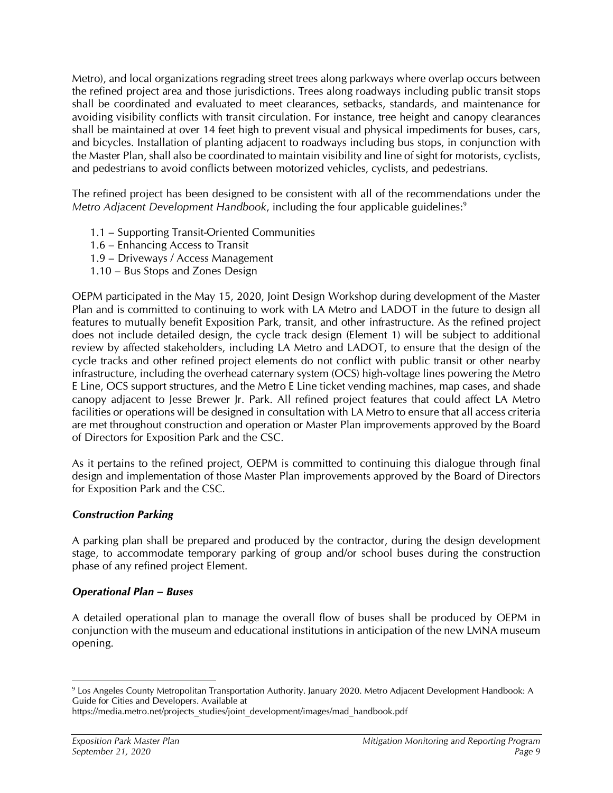Metro), and local organizations regrading street trees along parkways where overlap occurs between the refined project area and those jurisdictions. Trees along roadways including public transit stops shall be coordinated and evaluated to meet clearances, setbacks, standards, and maintenance for avoiding visibility conflicts with transit circulation. For instance, tree height and canopy clearances shall be maintained at over 14 feet high to prevent visual and physical impediments for buses, cars, and bicycles. Installation of planting adjacent to roadways including bus stops, in conjunction with the Master Plan, shall also be coordinated to maintain visibility and line of sight for motorists, cyclists, and pedestrians to avoid conflicts between motorized vehicles, cyclists, and pedestrians.

The refined project has been designed to be consistent with all of the recommendations under the *Metro Adjacent Development Handbook, including the four applicable guidelines:*<sup>9</sup>

- 1.1 Supporting Transit-Oriented Communities
- 1.6 Enhancing Access to Transit
- 1.9 Driveways / Access Management
- 1.10 Bus Stops and Zones Design

OEPM participated in the May 15, 2020, Joint Design Workshop during development of the Master Plan and is committed to continuing to work with LA Metro and LADOT in the future to design all features to mutually benefit Exposition Park, transit, and other infrastructure. As the refined project does not include detailed design, the cycle track design (Element 1) will be subject to additional review by affected stakeholders, including LA Metro and LADOT, to ensure that the design of the cycle tracks and other refined project elements do not conflict with public transit or other nearby infrastructure, including the overhead caternary system (OCS) high-voltage lines powering the Metro E Line, OCS support structures, and the Metro E Line ticket vending machines, map cases, and shade canopy adjacent to Jesse Brewer Jr. Park. All refined project features that could affect LA Metro facilities or operations will be designed in consultation with LA Metro to ensure that all access criteria are met throughout construction and operation or Master Plan improvements approved by the Board of Directors for Exposition Park and the CSC.

As it pertains to the refined project, OEPM is committed to continuing this dialogue through final design and implementation of those Master Plan improvements approved by the Board of Directors for Exposition Park and the CSC.

## *Construction Parking*

A parking plan shall be prepared and produced by the contractor, during the design development stage, to accommodate temporary parking of group and/or school buses during the construction phase of any refined project Element.

## *Operational Plan – Buses*

A detailed operational plan to manage the overall flow of buses shall be produced by OEPM in conjunction with the museum and educational institutions in anticipation of the new LMNA museum opening.

<sup>9</sup> Los Angeles County Metropolitan Transportation Authority. January 2020. Metro Adjacent Development Handbook: A Guide for Cities and Developers. Available at

https://media.metro.net/projects\_studies/joint\_development/images/mad\_handbook.pdf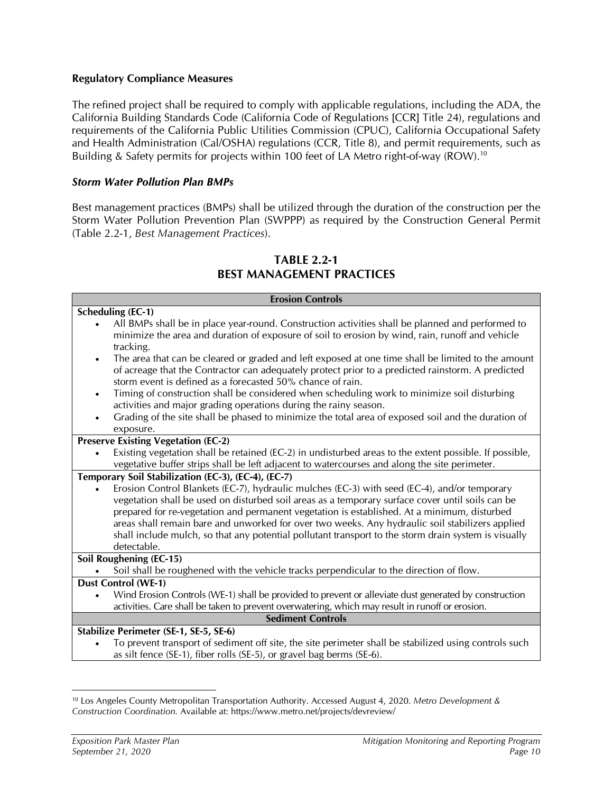#### **Regulatory Compliance Measures**

The refined project shall be required to comply with applicable regulations, including the ADA, the California Building Standards Code (California Code of Regulations [CCR] Title 24), regulations and requirements of the California Public Utilities Commission (CPUC), California Occupational Safety and Health Administration (Cal/OSHA) regulations (CCR, Title 8), and permit requirements, such as Building & Safety permits for projects within 100 feet of LA Metro right-of-way (ROW).<sup>10</sup>

#### *Storm Water Pollution Plan BMPs*

Best management practices (BMPs) shall be utilized through the duration of the construction per the Storm Water Pollution Prevention Plan (SWPPP) as required by the Construction General Permit (Table 2.2-1, *Best Management Practices*).

| <b>Erosion Controls</b>                                                                                                                                                                                                                                                                                                                                                                                                                                                                                                                                                          |
|----------------------------------------------------------------------------------------------------------------------------------------------------------------------------------------------------------------------------------------------------------------------------------------------------------------------------------------------------------------------------------------------------------------------------------------------------------------------------------------------------------------------------------------------------------------------------------|
| <b>Scheduling (EC-1)</b><br>All BMPs shall be in place year-round. Construction activities shall be planned and performed to<br>minimize the area and duration of exposure of soil to erosion by wind, rain, runoff and vehicle<br>tracking.<br>The area that can be cleared or graded and left exposed at one time shall be limited to the amount<br>$\bullet$                                                                                                                                                                                                                  |
| of acreage that the Contractor can adequately protect prior to a predicted rainstorm. A predicted<br>storm event is defined as a forecasted 50% chance of rain.<br>Timing of construction shall be considered when scheduling work to minimize soil disturbing<br>٠<br>activities and major grading operations during the rainy season.<br>Grading of the site shall be phased to minimize the total area of exposed soil and the duration of<br>$\bullet$<br>exposure.                                                                                                          |
| <b>Preserve Existing Vegetation (EC-2)</b>                                                                                                                                                                                                                                                                                                                                                                                                                                                                                                                                       |
| Existing vegetation shall be retained (EC-2) in undisturbed areas to the extent possible. If possible,<br>vegetative buffer strips shall be left adjacent to watercourses and along the site perimeter.                                                                                                                                                                                                                                                                                                                                                                          |
| Temporary Soil Stabilization (EC-3), (EC-4), (EC-7)<br>Erosion Control Blankets (EC-7), hydraulic mulches (EC-3) with seed (EC-4), and/or temporary<br>vegetation shall be used on disturbed soil areas as a temporary surface cover until soils can be<br>prepared for re-vegetation and permanent vegetation is established. At a minimum, disturbed<br>areas shall remain bare and unworked for over two weeks. Any hydraulic soil stabilizers applied<br>shall include mulch, so that any potential pollutant transport to the storm drain system is visually<br>detectable. |
| <b>Soil Roughening (EC-15)</b>                                                                                                                                                                                                                                                                                                                                                                                                                                                                                                                                                   |
| Soil shall be roughened with the vehicle tracks perpendicular to the direction of flow.                                                                                                                                                                                                                                                                                                                                                                                                                                                                                          |
| <b>Dust Control (WE-1)</b><br>Wind Erosion Controls (WE-1) shall be provided to prevent or alleviate dust generated by construction<br>activities. Care shall be taken to prevent overwatering, which may result in runoff or erosion.                                                                                                                                                                                                                                                                                                                                           |
| <b>Sediment Controls</b>                                                                                                                                                                                                                                                                                                                                                                                                                                                                                                                                                         |
| Stabilize Perimeter (SE-1, SE-5, SE-6)<br>To prevent transport of sediment off site, the site perimeter shall be stabilized using controls such<br>as silt fence (SE-1), fiber rolls (SE-5), or gravel bag berms (SE-6).                                                                                                                                                                                                                                                                                                                                                         |
|                                                                                                                                                                                                                                                                                                                                                                                                                                                                                                                                                                                  |

## **TABLE 2.2-1 BEST MANAGEMENT PRACTICES**

<sup>10</sup> Los Angeles County Metropolitan Transportation Authority. Accessed August 4, 2020. *Metro Development & Construction Coordination.* Available at: https://www.metro.net/projects/devreview/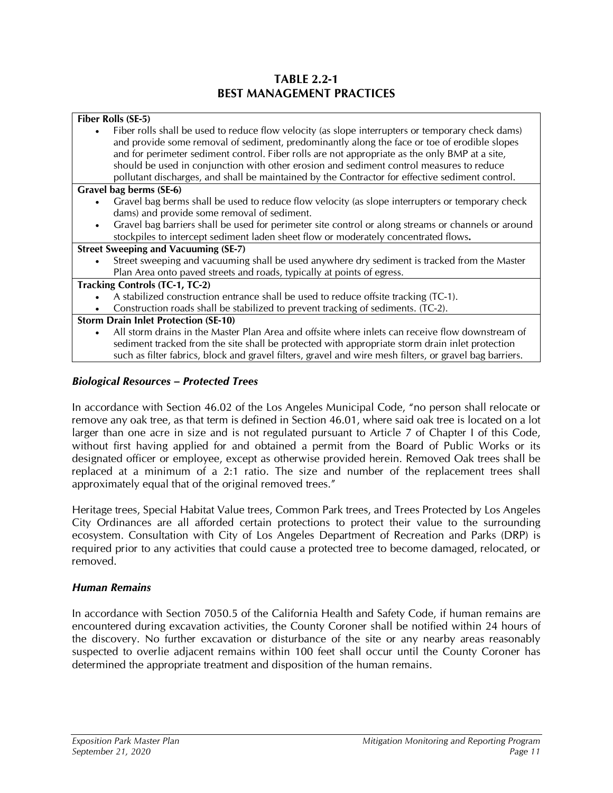## **TABLE 2.2-1 BEST MANAGEMENT PRACTICES**

| Fiber Rolls (SE-5)                                                                                                                                                                                                                                                                                                                                                                                                                                                                                 |
|----------------------------------------------------------------------------------------------------------------------------------------------------------------------------------------------------------------------------------------------------------------------------------------------------------------------------------------------------------------------------------------------------------------------------------------------------------------------------------------------------|
| Fiber rolls shall be used to reduce flow velocity (as slope interrupters or temporary check dams)<br>and provide some removal of sediment, predominantly along the face or toe of erodible slopes<br>and for perimeter sediment control. Fiber rolls are not appropriate as the only BMP at a site,<br>should be used in conjunction with other erosion and sediment control measures to reduce<br>pollutant discharges, and shall be maintained by the Contractor for effective sediment control. |
| Gravel bag berms (SE-6)                                                                                                                                                                                                                                                                                                                                                                                                                                                                            |
| Gravel bag berms shall be used to reduce flow velocity (as slope interrupters or temporary check<br>dams) and provide some removal of sediment.                                                                                                                                                                                                                                                                                                                                                    |
| Gravel bag barriers shall be used for perimeter site control or along streams or channels or around<br>stockpiles to intercept sediment laden sheet flow or moderately concentrated flows.                                                                                                                                                                                                                                                                                                         |
| <b>Street Sweeping and Vacuuming (SE-7)</b>                                                                                                                                                                                                                                                                                                                                                                                                                                                        |
| Street sweeping and vacuuming shall be used anywhere dry sediment is tracked from the Master<br>Plan Area onto paved streets and roads, typically at points of egress.                                                                                                                                                                                                                                                                                                                             |
| Tracking Controls (TC-1, TC-2)                                                                                                                                                                                                                                                                                                                                                                                                                                                                     |
| A stabilized construction entrance shall be used to reduce offsite tracking (TC-1).<br>Construction roads shall be stabilized to prevent tracking of sediments. (TC-2).                                                                                                                                                                                                                                                                                                                            |
| <b>Storm Drain Inlet Protection (SE-10)</b>                                                                                                                                                                                                                                                                                                                                                                                                                                                        |
| All storm drains in the Master Plan Area and offsite where inlets can receive flow downstream of<br>sediment tracked from the site shall be protected with appropriate storm drain inlet protection<br>such as filter fabrics, block and gravel filters, gravel and wire mesh filters, or gravel bag barriers.                                                                                                                                                                                     |
|                                                                                                                                                                                                                                                                                                                                                                                                                                                                                                    |

## *Biological Resources – Protected Trees*

In accordance with Section 46.02 of the Los Angeles Municipal Code, "no person shall relocate or remove any oak tree, as that term is defined in Section 46.01, where said oak tree is located on a lot larger than one acre in size and is not regulated pursuant to Article 7 of Chapter I of this Code, without first having applied for and obtained a permit from the Board of Public Works or its designated officer or employee, except as otherwise provided herein. Removed Oak trees shall be replaced at a minimum of a 2:1 ratio. The size and number of the replacement trees shall approximately equal that of the original removed trees."

Heritage trees, Special Habitat Value trees, Common Park trees, and Trees Protected by Los Angeles City Ordinances are all afforded certain protections to protect their value to the surrounding ecosystem. Consultation with City of Los Angeles Department of Recreation and Parks (DRP) is required prior to any activities that could cause a protected tree to become damaged, relocated, or removed.

## *Human Remains*

In accordance with Section 7050.5 of the California Health and Safety Code, if human remains are encountered during excavation activities, the County Coroner shall be notified within 24 hours of the discovery. No further excavation or disturbance of the site or any nearby areas reasonably suspected to overlie adjacent remains within 100 feet shall occur until the County Coroner has determined the appropriate treatment and disposition of the human remains.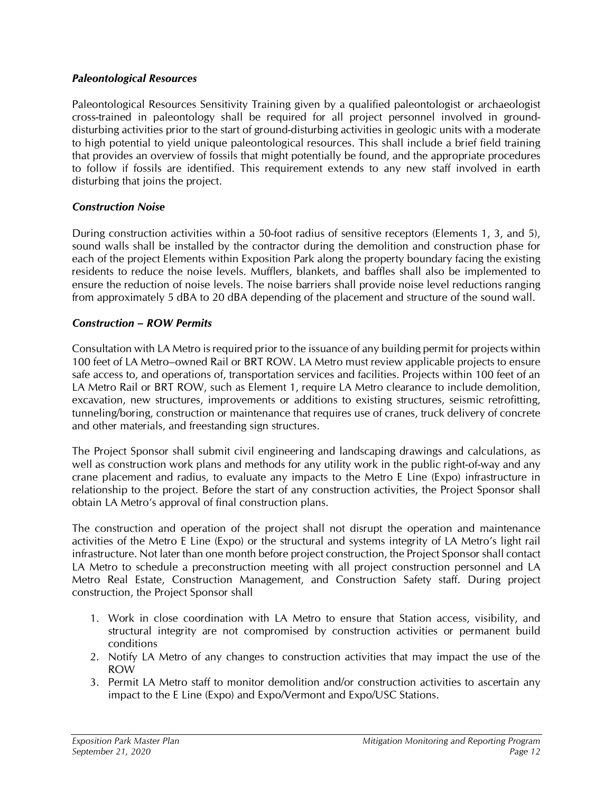#### *Paleontological Resources*

Paleontological Resources Sensitivity Training given by a qualified paleontologist or archaeologist cross-trained in paleontology shall be required for all project personnel involved in grounddisturbing activities prior to the start of ground-disturbing activities in geologic units with a moderate to high potential to yield unique paleontological resources. This shall include a brief field training that provides an overview of fossils that might potentially be found, and the appropriate procedures to follow if fossils are identified. This requirement extends to any new staff involved in earth disturbing that joins the project.

#### *Construction Noise*

During construction activities within a 50-foot radius of sensitive receptors (Elements 1, 3, and 5), sound walls shall be installed by the contractor during the demolition and construction phase for each of the project Elements within Exposition Park along the property boundary facing the existing residents to reduce the noise levels. Mufflers, blankets, and baffles shall also be implemented to ensure the reduction of noise levels. The noise barriers shall provide noise level reductions ranging from approximately 5 dBA to 20 dBA depending of the placement and structure of the sound wall.

#### *Construction – ROW Permits*

Consultation with LA Metro is required prior to the issuance of any building permit for projects within 100 feet of LA Metro–owned Rail or BRT ROW. LA Metro must review applicable projects to ensure safe access to, and operations of, transportation services and facilities. Projects within 100 feet of an LA Metro Rail or BRT ROW, such as Element 1, require LA Metro clearance to include demolition, excavation, new structures, improvements or additions to existing structures, seismic retrofitting, tunneling/boring, construction or maintenance that requires use of cranes, truck delivery of concrete and other materials, and freestanding sign structures.

The Project Sponsor shall submit civil engineering and landscaping drawings and calculations, as well as construction work plans and methods for any utility work in the public right-of-way and any crane placement and radius, to evaluate any impacts to the Metro E Line (Expo) infrastructure in relationship to the project. Before the start of any construction activities, the Project Sponsor shall obtain LA Metro's approval of final construction plans.

The construction and operation of the project shall not disrupt the operation and maintenance activities of the Metro E Line (Expo) or the structural and systems integrity of LA Metro's light rail infrastructure. Not later than one month before project construction, the Project Sponsor shall contact LA Metro to schedule a preconstruction meeting with all project construction personnel and LA Metro Real Estate, Construction Management, and Construction Safety staff. During project construction, the Project Sponsor shall

- 1. Work in close coordination with LA Metro to ensure that Station access, visibility, and structural integrity are not compromised by construction activities or permanent build conditions
- 2. Notify LA Metro of any changes to construction activities that may impact the use of the ROW
- 3. Permit LA Metro staff to monitor demolition and/or construction activities to ascertain any impact to the E Line (Expo) and Expo/Vermont and Expo/USC Stations.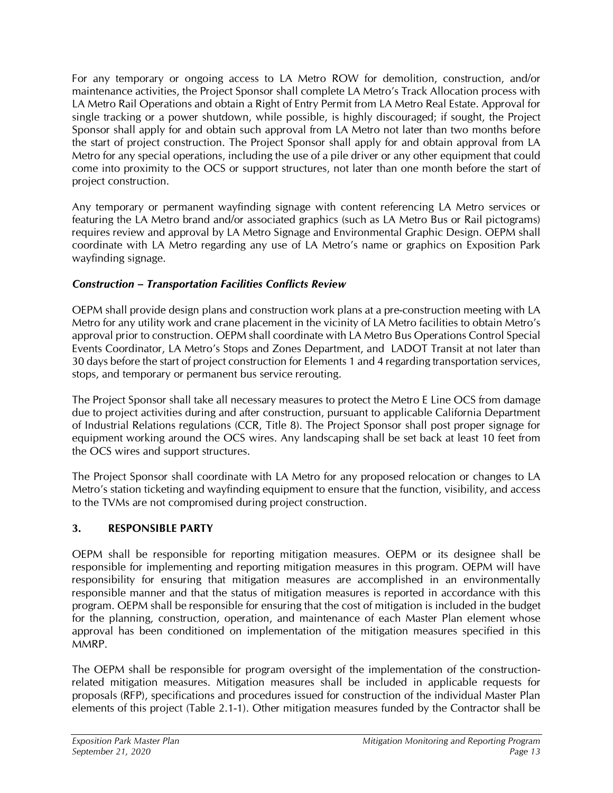For any temporary or ongoing access to LA Metro ROW for demolition, construction, and/or maintenance activities, the Project Sponsor shall complete LA Metro's Track Allocation process with LA Metro Rail Operations and obtain a Right of Entry Permit from LA Metro Real Estate. Approval for single tracking or a power shutdown, while possible, is highly discouraged; if sought, the Project Sponsor shall apply for and obtain such approval from LA Metro not later than two months before the start of project construction. The Project Sponsor shall apply for and obtain approval from LA Metro for any special operations, including the use of a pile driver or any other equipment that could come into proximity to the OCS or support structures, not later than one month before the start of project construction.

Any temporary or permanent wayfinding signage with content referencing LA Metro services or featuring the LA Metro brand and/or associated graphics (such as LA Metro Bus or Rail pictograms) requires review and approval by LA Metro Signage and Environmental Graphic Design. OEPM shall coordinate with LA Metro regarding any use of LA Metro's name or graphics on Exposition Park wayfinding signage.

## *Construction – Transportation Facilities Conflicts Review*

OEPM shall provide design plans and construction work plans at a pre-construction meeting with LA Metro for any utility work and crane placement in the vicinity of LA Metro facilities to obtain Metro's approval prior to construction. OEPM shall coordinate with LA Metro Bus Operations Control Special Events Coordinator, LA Metro's Stops and Zones Department, and LADOT Transit at not later than 30 days before the start of project construction for Elements 1 and 4 regarding transportation services, stops, and temporary or permanent bus service rerouting.

The Project Sponsor shall take all necessary measures to protect the Metro E Line OCS from damage due to project activities during and after construction, pursuant to applicable California Department of Industrial Relations regulations (CCR, Title 8). The Project Sponsor shall post proper signage for equipment working around the OCS wires. Any landscaping shall be set back at least 10 feet from the OCS wires and support structures.

The Project Sponsor shall coordinate with LA Metro for any proposed relocation or changes to LA Metro's station ticketing and wayfinding equipment to ensure that the function, visibility, and access to the TVMs are not compromised during project construction.

## **3. RESPONSIBLE PARTY**

OEPM shall be responsible for reporting mitigation measures. OEPM or its designee shall be responsible for implementing and reporting mitigation measures in this program. OEPM will have responsibility for ensuring that mitigation measures are accomplished in an environmentally responsible manner and that the status of mitigation measures is reported in accordance with this program. OEPM shall be responsible for ensuring that the cost of mitigation is included in the budget for the planning, construction, operation, and maintenance of each Master Plan element whose approval has been conditioned on implementation of the mitigation measures specified in this MMRP.

The OEPM shall be responsible for program oversight of the implementation of the constructionrelated mitigation measures. Mitigation measures shall be included in applicable requests for proposals (RFP), specifications and procedures issued for construction of the individual Master Plan elements of this project (Table 2.1-1). Other mitigation measures funded by the Contractor shall be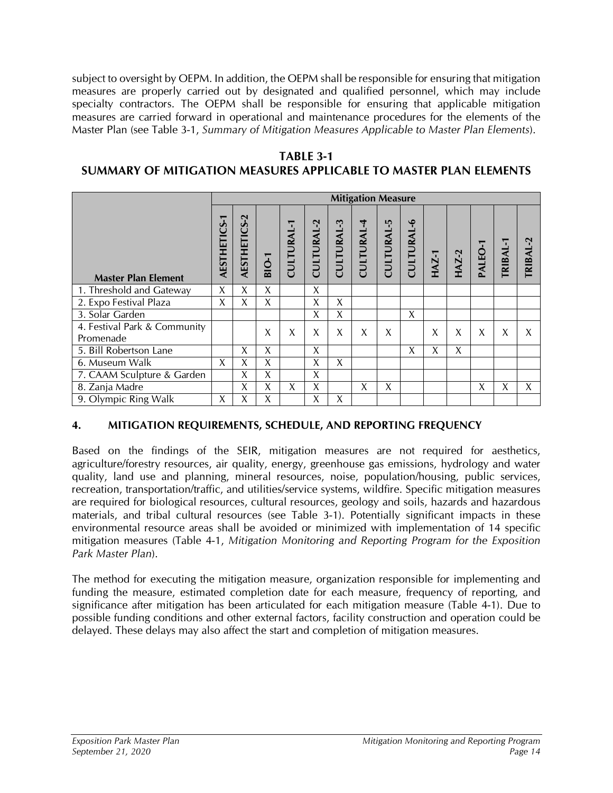subject to oversight by OEPM. In addition, the OEPM shall be responsible for ensuring that mitigation measures are properly carried out by designated and qualified personnel, which may include specialty contractors. The OEPM shall be responsible for ensuring that applicable mitigation measures are carried forward in operational and maintenance procedures for the elements of the Master Plan (see Table 3-1, *Summary of Mitigation Measures Applicable to Master Plan Elements*).

#### **TABLE 3-1**

## **SUMMARY OF MITIGATION MEASURES APPLICABLE TO MASTER PLAN ELEMENTS**

|                                           |                     | <b>Mitigation Measure</b> |                             |                 |                           |            |                   |            |            |              |              |       |         |                 |
|-------------------------------------------|---------------------|---------------------------|-----------------------------|-----------------|---------------------------|------------|-------------------|------------|------------|--------------|--------------|-------|---------|-----------------|
| <b>Master Plan Element</b>                | <b>AESTHETICS-1</b> | <b>AESTHETICS-2</b>       | $\overline{O}$ -1<br>$\sim$ | <b>CULTURAL</b> | $\sim$<br><b>CULTURAL</b> | CULTURAL-3 | <b>CULTURAL-4</b> | CULTURAL-5 | CULTURAL-6 | <b>HAZ-1</b> | <b>HAZ-2</b> | ALEO- | TRIBAL- | <b>TRIBAL-2</b> |
| 1. Threshold and Gateway                  | X                   | X                         | X                           |                 | X                         |            |                   |            |            |              |              |       |         |                 |
| 2. Expo Festival Plaza                    | X                   | Χ                         | X                           |                 | X                         | $\chi$     |                   |            |            |              |              |       |         |                 |
| 3. Solar Garden                           |                     |                           |                             |                 | X                         | X          |                   |            | X          |              |              |       |         |                 |
| 4. Festival Park & Community<br>Promenade |                     |                           | X                           | X               | X                         | X          | X                 | X          |            | X            | X            | X     | X       | X               |
| 5. Bill Robertson Lane                    |                     | Χ                         | X                           |                 | X                         |            |                   |            | Χ          | X            | X            |       |         |                 |
| 6. Museum Walk                            | X                   | X                         | X                           |                 | X                         | X          |                   |            |            |              |              |       |         |                 |
| 7. CAAM Sculpture & Garden                |                     | X                         | X                           |                 | X                         |            |                   |            |            |              |              |       |         |                 |
| 8. Zanja Madre                            |                     | X                         | X                           | X               | X                         |            | X                 | X          |            |              |              | X     | X       | X               |
| 9. Olympic Ring Walk                      | X                   | Χ                         | Χ                           |                 | X                         | X          |                   |            |            |              |              |       |         |                 |

## **4. MITIGATION REQUIREMENTS, SCHEDULE, AND REPORTING FREQUENCY**

Based on the findings of the SEIR, mitigation measures are not required for aesthetics, agriculture/forestry resources, air quality, energy, greenhouse gas emissions, hydrology and water quality, land use and planning, mineral resources, noise, population/housing, public services, recreation, transportation/traffic, and utilities/service systems, wildfire. Specific mitigation measures are required for biological resources, cultural resources, geology and soils, hazards and hazardous materials, and tribal cultural resources (see Table 3-1). Potentially significant impacts in these environmental resource areas shall be avoided or minimized with implementation of 14 specific mitigation measures (Table 4-1, *Mitigation Monitoring and Reporting Program for the Exposition Park Master Plan*).

The method for executing the mitigation measure, organization responsible for implementing and funding the measure, estimated completion date for each measure, frequency of reporting, and significance after mitigation has been articulated for each mitigation measure (Table 4-1). Due to possible funding conditions and other external factors, facility construction and operation could be delayed. These delays may also affect the start and completion of mitigation measures.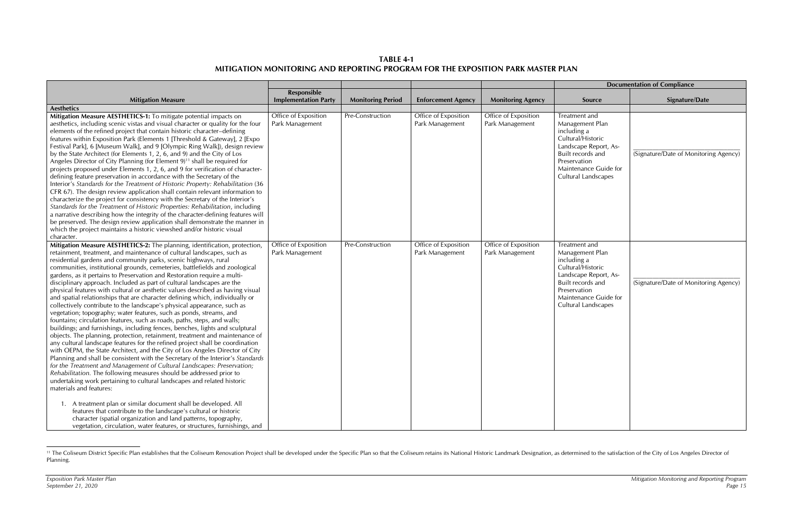**TABLE 4-1 MITIGATION MONITORING AND REPORTING PROGRAM FOR THE EXPOSITION PARK MASTER PLAN** 

|                                                                                                                                                                                                                                                                                                                                                                                                                                                                                                                                                                                                                                                                                                                                                                                                                                                                                                                                                                                                                                                                                                                                                                                                                                                                                                                                                                                                                                                                                                                                                                                                                                                                                                                                                                                                                             |                                         |                          |                                         | <b>Documentation of Compliance</b>      |                                                                                                                                                                                    |                                       |
|-----------------------------------------------------------------------------------------------------------------------------------------------------------------------------------------------------------------------------------------------------------------------------------------------------------------------------------------------------------------------------------------------------------------------------------------------------------------------------------------------------------------------------------------------------------------------------------------------------------------------------------------------------------------------------------------------------------------------------------------------------------------------------------------------------------------------------------------------------------------------------------------------------------------------------------------------------------------------------------------------------------------------------------------------------------------------------------------------------------------------------------------------------------------------------------------------------------------------------------------------------------------------------------------------------------------------------------------------------------------------------------------------------------------------------------------------------------------------------------------------------------------------------------------------------------------------------------------------------------------------------------------------------------------------------------------------------------------------------------------------------------------------------------------------------------------------------|-----------------------------------------|--------------------------|-----------------------------------------|-----------------------------------------|------------------------------------------------------------------------------------------------------------------------------------------------------------------------------------|---------------------------------------|
|                                                                                                                                                                                                                                                                                                                                                                                                                                                                                                                                                                                                                                                                                                                                                                                                                                                                                                                                                                                                                                                                                                                                                                                                                                                                                                                                                                                                                                                                                                                                                                                                                                                                                                                                                                                                                             | <b>Responsible</b>                      |                          |                                         |                                         |                                                                                                                                                                                    |                                       |
| <b>Mitigation Measure</b>                                                                                                                                                                                                                                                                                                                                                                                                                                                                                                                                                                                                                                                                                                                                                                                                                                                                                                                                                                                                                                                                                                                                                                                                                                                                                                                                                                                                                                                                                                                                                                                                                                                                                                                                                                                                   | <b>Implementation Party</b>             | <b>Monitoring Period</b> | <b>Enforcement Agency</b>               | <b>Monitoring Agency</b>                | Source                                                                                                                                                                             | <b>Signature/Date</b>                 |
| <b>Aesthetics</b>                                                                                                                                                                                                                                                                                                                                                                                                                                                                                                                                                                                                                                                                                                                                                                                                                                                                                                                                                                                                                                                                                                                                                                                                                                                                                                                                                                                                                                                                                                                                                                                                                                                                                                                                                                                                           |                                         |                          |                                         |                                         |                                                                                                                                                                                    |                                       |
| Mitigation Measure AESTHETICS-1: To mitigate potential impacts on<br>aesthetics, including scenic vistas and visual character or quality for the four<br>elements of the refined project that contain historic character-defining<br>features within Exposition Park (Elements 1 [Threshold & Gateway], 2 [Expo<br>Festival Park], 6 [Museum Walk], and 9 [Olympic Ring Walk]), design review<br>by the State Architect (for Elements 1, 2, 6, and 9) and the City of Los<br>Angeles Director of City Planning (for Element 9) <sup>11</sup> shall be required for<br>projects proposed under Elements 1, 2, 6, and 9 for verification of character-<br>defining feature preservation in accordance with the Secretary of the<br>Interior's Standards for the Treatment of Historic Property: Rehabilitation (36<br>CFR 67). The design review application shall contain relevant information to<br>characterize the project for consistency with the Secretary of the Interior's<br>Standards for the Treatment of Historic Properties: Rehabilitation, including<br>a narrative describing how the integrity of the character-defining features will<br>be preserved. The design review application shall demonstrate the manner in<br>which the project maintains a historic viewshed and/or historic visual<br>character.                                                                                                                                                                                                                                                                                                                                                                                                                                                                                               | Office of Exposition<br>Park Management | Pre-Construction         | Office of Exposition<br>Park Management | Office of Exposition<br>Park Management | Treatment and<br>Management Plan<br>including a<br>Cultural/Historic<br>Landscape Report, As-<br>Built records and<br>Preservation<br>Maintenance Guide for<br>Cultural Landscapes | (Signature/Date of Monitoring Agency) |
| Mitigation Measure AESTHETICS-2: The planning, identification, protection,<br>retainment, treatment, and maintenance of cultural landscapes, such as<br>residential gardens and community parks, scenic highways, rural<br>communities, institutional grounds, cemeteries, battlefields and zoological<br>gardens, as it pertains to Preservation and Restoration require a multi-<br>disciplinary approach. Included as part of cultural landscapes are the<br>physical features with cultural or aesthetic values described as having visual<br>and spatial relationships that are character defining which, individually or<br>collectively contribute to the landscape's physical appearance, such as<br>vegetation; topography; water features, such as ponds, streams, and<br>fountains; circulation features, such as roads, paths, steps, and walls;<br>buildings; and furnishings, including fences, benches, lights and sculptural<br>objects. The planning, protection, retainment, treatment and maintenance of<br>any cultural landscape features for the refined project shall be coordination<br>with OEPM, the State Architect, and the City of Los Angeles Director of City<br>Planning and shall be consistent with the Secretary of the Interior's Standards<br>for the Treatment and Management of Cultural Landscapes: Preservation;<br>Rehabilitation. The following measures should be addressed prior to<br>undertaking work pertaining to cultural landscapes and related historic<br>materials and features:<br>1. A treatment plan or similar document shall be developed. All<br>features that contribute to the landscape's cultural or historic<br>character (spatial organization and land patterns, topography,<br>vegetation, circulation, water features, or structures, furnishings, and | Office of Exposition<br>Park Management | Pre-Construction         | Office of Exposition<br>Park Management | Office of Exposition<br>Park Management | Treatment and<br>Management Plan<br>including a<br>Cultural/Historic<br>Landscape Report, As-<br>Built records and<br>Preservation<br>Maintenance Guide for<br>Cultural Landscapes | (Signature/Date of Monitoring Agency) |

<sup>&</sup>lt;sup>11</sup> The Coliseum District Specific Plan establishes that the Coliseum Renovation Project shall be developed under the Specific Plan so that the Coliseum retains its National Historic Landmark Designation, as determined to Planning.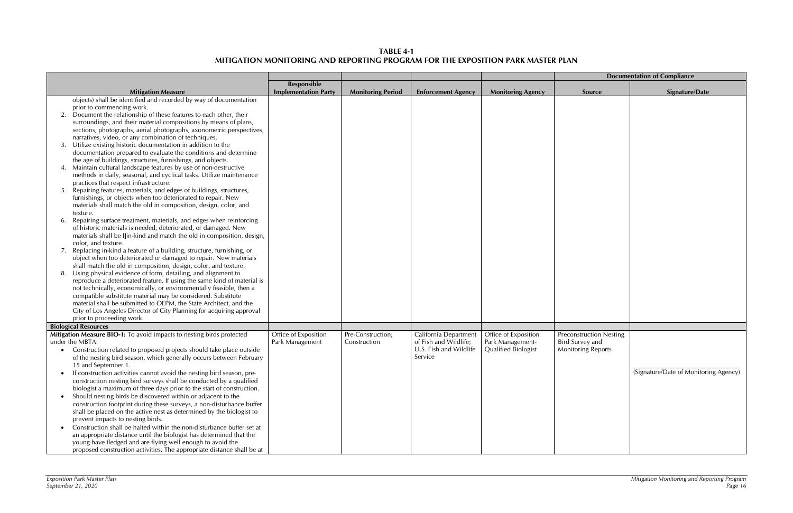## **TABLE 4-1 MITIGATION MONITORING AND REPORTING PROGRAM FOR THE EXPOSITION PARK MASTER PLAN**

|           |                                                                                                                                      |                             |                          |                           |                            |                                | <b>Documentation of Compliance</b>    |
|-----------|--------------------------------------------------------------------------------------------------------------------------------------|-----------------------------|--------------------------|---------------------------|----------------------------|--------------------------------|---------------------------------------|
|           |                                                                                                                                      | <b>Responsible</b>          |                          |                           |                            |                                |                                       |
|           | <b>Mitigation Measure</b>                                                                                                            | <b>Implementation Party</b> | <b>Monitoring Period</b> | <b>Enforcement Agency</b> | <b>Monitoring Agency</b>   | Source                         | Signature/Date                        |
|           | objects) shall be identified and recorded by way of documentation                                                                    |                             |                          |                           |                            |                                |                                       |
|           | prior to commencing work.                                                                                                            |                             |                          |                           |                            |                                |                                       |
| 2.        | Document the relationship of these features to each other, their                                                                     |                             |                          |                           |                            |                                |                                       |
|           | surroundings, and their material compositions by means of plans,                                                                     |                             |                          |                           |                            |                                |                                       |
|           | sections, photographs, aerial photographs, axonometric perspectives,                                                                 |                             |                          |                           |                            |                                |                                       |
|           | narratives, video, or any combination of techniques.                                                                                 |                             |                          |                           |                            |                                |                                       |
|           | Utilize existing historic documentation in addition to the                                                                           |                             |                          |                           |                            |                                |                                       |
|           | documentation prepared to evaluate the conditions and determine                                                                      |                             |                          |                           |                            |                                |                                       |
|           | the age of buildings, structures, furnishings, and objects.                                                                          |                             |                          |                           |                            |                                |                                       |
|           | Maintain cultural landscape features by use of non-destructive                                                                       |                             |                          |                           |                            |                                |                                       |
|           | methods in daily, seasonal, and cyclical tasks. Utilize maintenance                                                                  |                             |                          |                           |                            |                                |                                       |
|           | practices that respect infrastructure.                                                                                               |                             |                          |                           |                            |                                |                                       |
| -5.       | Repairing features, materials, and edges of buildings, structures,                                                                   |                             |                          |                           |                            |                                |                                       |
|           | furnishings, or objects when too deteriorated to repair. New                                                                         |                             |                          |                           |                            |                                |                                       |
|           | materials shall match the old in composition, design, color, and                                                                     |                             |                          |                           |                            |                                |                                       |
|           | texture.                                                                                                                             |                             |                          |                           |                            |                                |                                       |
| 6.        | Repairing surface treatment, materials, and edges when reinforcing<br>of historic materials is needed, deteriorated, or damaged. New |                             |                          |                           |                            |                                |                                       |
|           | materials shall be I]in-kind and match the old in composition, design,                                                               |                             |                          |                           |                            |                                |                                       |
|           | color, and texture.                                                                                                                  |                             |                          |                           |                            |                                |                                       |
|           | Replacing in-kind a feature of a building, structure, furnishing, or                                                                 |                             |                          |                           |                            |                                |                                       |
|           | object when too deteriorated or damaged to repair. New materials                                                                     |                             |                          |                           |                            |                                |                                       |
|           | shall match the old in composition, design, color, and texture.                                                                      |                             |                          |                           |                            |                                |                                       |
|           | Using physical evidence of form, detailing, and alignment to                                                                         |                             |                          |                           |                            |                                |                                       |
|           | reproduce a deteriorated feature. If using the same kind of material is                                                              |                             |                          |                           |                            |                                |                                       |
|           | not technically, economically, or environmentally feasible, then a                                                                   |                             |                          |                           |                            |                                |                                       |
|           | compatible substitute material may be considered. Substitute                                                                         |                             |                          |                           |                            |                                |                                       |
|           | material shall be submitted to OEPM, the State Architect, and the                                                                    |                             |                          |                           |                            |                                |                                       |
|           | City of Los Angeles Director of City Planning for acquiring approval                                                                 |                             |                          |                           |                            |                                |                                       |
|           | prior to proceeding work.                                                                                                            |                             |                          |                           |                            |                                |                                       |
|           | <b>Biological Resources</b>                                                                                                          |                             |                          |                           |                            |                                |                                       |
|           | Mitigation Measure BIO-1: To avoid impacts to nesting birds protected                                                                | Office of Exposition        | Pre-Construction;        | California Department     | Office of Exposition       | <b>Preconstruction Nesting</b> |                                       |
|           | under the MBTA:                                                                                                                      | Park Management             | Construction             | of Fish and Wildlife;     | Park Management-           | <b>Bird Survey and</b>         |                                       |
|           | Construction related to proposed projects should take place outside                                                                  |                             |                          | U.S. Fish and Wildlife    | <b>Qualified Biologist</b> | <b>Monitoring Reports</b>      |                                       |
|           | of the nesting bird season, which generally occurs between February                                                                  |                             |                          | Service                   |                            |                                |                                       |
|           | 15 and September 1.                                                                                                                  |                             |                          |                           |                            |                                |                                       |
|           | If construction activities cannot avoid the nesting bird season, pre-                                                                |                             |                          |                           |                            |                                | (Signature/Date of Monitoring Agency) |
|           | construction nesting bird surveys shall be conducted by a qualified                                                                  |                             |                          |                           |                            |                                |                                       |
|           | biologist a maximum of three days prior to the start of construction.                                                                |                             |                          |                           |                            |                                |                                       |
| $\bullet$ | Should nesting birds be discovered within or adjacent to the                                                                         |                             |                          |                           |                            |                                |                                       |
|           | construction footprint during these surveys, a non-disturbance buffer                                                                |                             |                          |                           |                            |                                |                                       |
|           | shall be placed on the active nest as determined by the biologist to                                                                 |                             |                          |                           |                            |                                |                                       |
|           | prevent impacts to nesting birds.                                                                                                    |                             |                          |                           |                            |                                |                                       |
| $\bullet$ | Construction shall be halted within the non-disturbance buffer set at                                                                |                             |                          |                           |                            |                                |                                       |
|           | an appropriate distance until the biologist has determined that the                                                                  |                             |                          |                           |                            |                                |                                       |
|           | young have fledged and are flying well enough to avoid the                                                                           |                             |                          |                           |                            |                                |                                       |
|           | proposed construction activities. The appropriate distance shall be at                                                               |                             |                          |                           |                            |                                |                                       |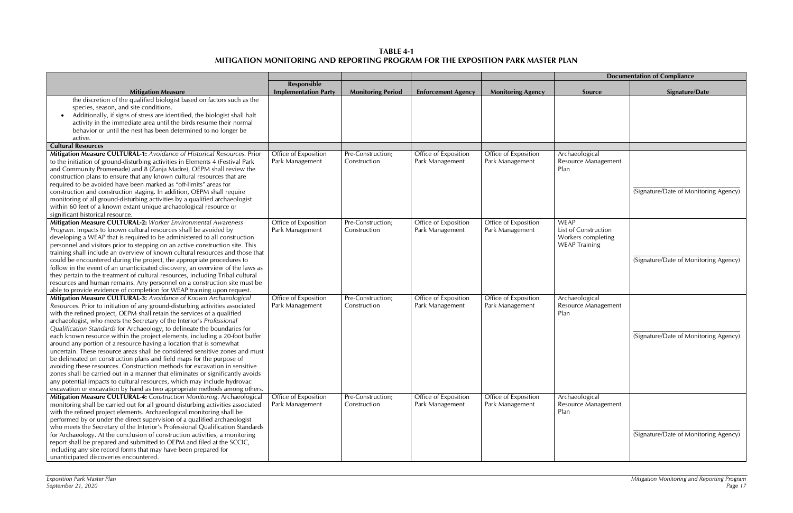**TABLE 4-1 MITIGATION MONITORING AND REPORTING PROGRAM FOR THE EXPOSITION PARK MASTER PLAN** 

|                                                                                                                                                       |                                         |                                   |                                         |                          | <b>Documentation of Compliance</b>           |                                       |  |
|-------------------------------------------------------------------------------------------------------------------------------------------------------|-----------------------------------------|-----------------------------------|-----------------------------------------|--------------------------|----------------------------------------------|---------------------------------------|--|
|                                                                                                                                                       | Responsible                             |                                   |                                         |                          |                                              |                                       |  |
| <b>Mitigation Measure</b>                                                                                                                             | <b>Implementation Party</b>             | <b>Monitoring Period</b>          | <b>Enforcement Agency</b>               | <b>Monitoring Agency</b> | <b>Source</b>                                | <b>Signature/Date</b>                 |  |
| the discretion of the qualified biologist based on factors such as the                                                                                |                                         |                                   |                                         |                          |                                              |                                       |  |
| species, season, and site conditions.                                                                                                                 |                                         |                                   |                                         |                          |                                              |                                       |  |
| Additionally, if signs of stress are identified, the biologist shall halt                                                                             |                                         |                                   |                                         |                          |                                              |                                       |  |
| activity in the immediate area until the birds resume their normal                                                                                    |                                         |                                   |                                         |                          |                                              |                                       |  |
| behavior or until the nest has been determined to no longer be                                                                                        |                                         |                                   |                                         |                          |                                              |                                       |  |
| active.                                                                                                                                               |                                         |                                   |                                         |                          |                                              |                                       |  |
| <b>Cultural Resources</b>                                                                                                                             |                                         |                                   |                                         |                          |                                              |                                       |  |
| Mitigation Measure CULTURAL-1: Avoidance of Historical Resources. Prior                                                                               | Office of Exposition<br>Park Management | Pre-Construction;<br>Construction | Office of Exposition<br>Park Management | Office of Exposition     | Archaeological<br><b>Resource Management</b> |                                       |  |
| to the initiation of ground-disturbing activities in Elements 4 (Festival Park<br>and Community Promenade) and 8 (Zanja Madre), OEPM shall review the |                                         |                                   |                                         | Park Management          | Plan                                         |                                       |  |
| construction plans to ensure that any known cultural resources that are                                                                               |                                         |                                   |                                         |                          |                                              |                                       |  |
| required to be avoided have been marked as "off-limits" areas for                                                                                     |                                         |                                   |                                         |                          |                                              |                                       |  |
| construction and construction staging. In addition, OEPM shall require                                                                                |                                         |                                   |                                         |                          |                                              | (Signature/Date of Monitoring Agency) |  |
| monitoring of all ground-disturbing activities by a qualified archaeologist                                                                           |                                         |                                   |                                         |                          |                                              |                                       |  |
| within 60 feet of a known extant unique archaeological resource or                                                                                    |                                         |                                   |                                         |                          |                                              |                                       |  |
| significant historical resource.                                                                                                                      |                                         |                                   |                                         |                          |                                              |                                       |  |
| Mitigation Measure CULTURAL-2: Worker Environmental Awareness                                                                                         | Office of Exposition                    | Pre-Construction;                 | Office of Exposition                    | Office of Exposition     | <b>WEAP</b>                                  |                                       |  |
| Program. Impacts to known cultural resources shall be avoided by                                                                                      | Park Management                         | Construction                      | Park Management                         | Park Management          | List of Construction                         |                                       |  |
| developing a WEAP that is required to be administered to all construction                                                                             |                                         |                                   |                                         |                          | Workers completing                           |                                       |  |
| personnel and visitors prior to stepping on an active construction site. This                                                                         |                                         |                                   |                                         |                          | <b>WEAP Training</b>                         |                                       |  |
| training shall include an overview of known cultural resources and those that                                                                         |                                         |                                   |                                         |                          |                                              |                                       |  |
| could be encountered during the project, the appropriate procedures to                                                                                |                                         |                                   |                                         |                          |                                              | (Signature/Date of Monitoring Agency) |  |
| follow in the event of an unanticipated discovery, an overview of the laws as                                                                         |                                         |                                   |                                         |                          |                                              |                                       |  |
| they pertain to the treatment of cultural resources, including Tribal cultural                                                                        |                                         |                                   |                                         |                          |                                              |                                       |  |
| resources and human remains. Any personnel on a construction site must be                                                                             |                                         |                                   |                                         |                          |                                              |                                       |  |
| able to provide evidence of completion for WEAP training upon request.                                                                                |                                         |                                   |                                         |                          |                                              |                                       |  |
| Mitigation Measure CULTURAL-3: Avoidance of Known Archaeological                                                                                      | Office of Exposition                    | Pre-Construction;                 | Office of Exposition                    | Office of Exposition     | Archaeological                               |                                       |  |
| Resources. Prior to initiation of any ground-disturbing activities associated                                                                         | Park Management                         | Construction                      | Park Management                         | Park Management          | Resource Management                          |                                       |  |
| with the refined project, OEPM shall retain the services of a qualified                                                                               |                                         |                                   |                                         |                          | Plan                                         |                                       |  |
| archaeologist, who meets the Secretary of the Interior's Professional                                                                                 |                                         |                                   |                                         |                          |                                              |                                       |  |
| Qualification Standards for Archaeology, to delineate the boundaries for                                                                              |                                         |                                   |                                         |                          |                                              |                                       |  |
| each known resource within the project elements, including a 20-foot buffer                                                                           |                                         |                                   |                                         |                          |                                              | (Signature/Date of Monitoring Agency) |  |
| around any portion of a resource having a location that is somewhat<br>uncertain. These resource areas shall be considered sensitive zones and must   |                                         |                                   |                                         |                          |                                              |                                       |  |
| be delineated on construction plans and field maps for the purpose of                                                                                 |                                         |                                   |                                         |                          |                                              |                                       |  |
| avoiding these resources. Construction methods for excavation in sensitive                                                                            |                                         |                                   |                                         |                          |                                              |                                       |  |
| zones shall be carried out in a manner that eliminates or significantly avoids                                                                        |                                         |                                   |                                         |                          |                                              |                                       |  |
| any potential impacts to cultural resources, which may include hydrovac                                                                               |                                         |                                   |                                         |                          |                                              |                                       |  |
| excavation or excavation by hand as two appropriate methods among others.                                                                             |                                         |                                   |                                         |                          |                                              |                                       |  |
| Mitigation Measure CULTURAL-4: Construction Monitoring. Archaeological                                                                                | Office of Exposition                    | Pre-Construction;                 | Office of Exposition                    | Office of Exposition     | Archaeological                               |                                       |  |
| monitoring shall be carried out for all ground disturbing activities associated                                                                       | Park Management                         | Construction                      | Park Management                         | Park Management          | Resource Management                          |                                       |  |
| with the refined project elements. Archaeological monitoring shall be                                                                                 |                                         |                                   |                                         |                          | Plan                                         |                                       |  |
| performed by or under the direct supervision of a qualified archaeologist                                                                             |                                         |                                   |                                         |                          |                                              |                                       |  |
| who meets the Secretary of the Interior's Professional Qualification Standards                                                                        |                                         |                                   |                                         |                          |                                              |                                       |  |
| for Archaeology. At the conclusion of construction activities, a monitoring                                                                           |                                         |                                   |                                         |                          |                                              | (Signature/Date of Monitoring Agency) |  |
| report shall be prepared and submitted to OEPM and filed at the SCCIC,                                                                                |                                         |                                   |                                         |                          |                                              |                                       |  |
| including any site record forms that may have been prepared for                                                                                       |                                         |                                   |                                         |                          |                                              |                                       |  |
| unanticipated discoveries encountered.                                                                                                                |                                         |                                   |                                         |                          |                                              |                                       |  |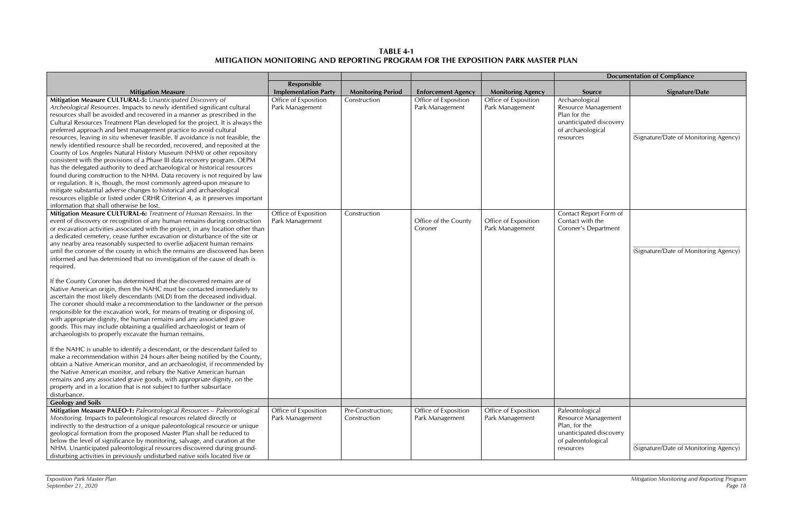**TABLE 4-1 MITIGATION MONITORING AND REPORTING PROGRAM FOR THE EXPOSITION PARK MASTER PLAN** 

|                                                                                                                                                                                                                                                                                                                                                                                                                                                                                                                                                                                                                                                                                                                                                                                                                                                                                                                                                                                                                                                                                                                                                   |                                         |                                   |                                         |                                         |                                                                                                                       | <b>Documentation of Compliance</b> |
|---------------------------------------------------------------------------------------------------------------------------------------------------------------------------------------------------------------------------------------------------------------------------------------------------------------------------------------------------------------------------------------------------------------------------------------------------------------------------------------------------------------------------------------------------------------------------------------------------------------------------------------------------------------------------------------------------------------------------------------------------------------------------------------------------------------------------------------------------------------------------------------------------------------------------------------------------------------------------------------------------------------------------------------------------------------------------------------------------------------------------------------------------|-----------------------------------------|-----------------------------------|-----------------------------------------|-----------------------------------------|-----------------------------------------------------------------------------------------------------------------------|------------------------------------|
|                                                                                                                                                                                                                                                                                                                                                                                                                                                                                                                                                                                                                                                                                                                                                                                                                                                                                                                                                                                                                                                                                                                                                   | Responsible                             |                                   |                                         |                                         |                                                                                                                       |                                    |
| <b>Mitigation Measure</b>                                                                                                                                                                                                                                                                                                                                                                                                                                                                                                                                                                                                                                                                                                                                                                                                                                                                                                                                                                                                                                                                                                                         | <b>Implementation Party</b>             | <b>Monitoring Period</b>          | <b>Enforcement Agency</b>               | <b>Monitoring Agency</b>                | <b>Source</b>                                                                                                         | <b>Signature/Date</b>              |
| Mitigation Measure CULTURAL-5: Unanticipated Discovery of<br>Archeological Resources. Impacts to newly identified significant cultural<br>resources shall be avoided and recovered in a manner as prescribed in the<br>Cultural Resources Treatment Plan developed for the project. It is always the<br>preferred approach and best management practice to avoid cultural<br>resources, leaving in situ whenever feasible. If avoidance is not feasible, the<br>newly identified resource shall be recorded, recovered, and reposited at the<br>County of Los Angeles Natural History Museum (NHM) or other repository<br>consistent with the provisions of a Phase III data recovery program. OEPM<br>has the delegated authority to deed archaeological or historical resources<br>found during construction to the NHM. Data recovery is not required by law<br>or regulation. It is, though, the most commonly agreed-upon measure to<br>mitigate substantial adverse changes to historical and archaeological<br>resources eligible or listed under CRHR Criterion 4, as it preserves important<br>information that shall otherwise be lost. | Office of Exposition<br>Park Management | Construction                      | Office of Exposition<br>Park Management | Office of Exposition<br>Park Management | Archaeological<br>Resource Management<br>Plan for the<br>unanticipated discovery<br>of archaeological<br>resources    | (Signature/Date of Monitorin       |
| Mitigation Measure CULTURAL-6: Treatment of Human Remains. In the<br>event of discovery or recognition of any human remains during construction<br>or excavation activities associated with the project, in any location other than<br>a dedicated cemetery, cease further excavation or disturbance of the site or<br>any nearby area reasonably suspected to overlie adjacent human remains<br>until the coroner of the county in which the remains are discovered has been<br>informed and has determined that no investigation of the cause of death is<br>required.                                                                                                                                                                                                                                                                                                                                                                                                                                                                                                                                                                          | Office of Exposition<br>Park Management | Construction                      | Office of the County<br>Coroner         | Office of Exposition<br>Park Management | Contact Report Form of<br>Contact with the<br>Coroner's Department                                                    | (Signature/Date of Monitorin       |
| If the County Coroner has determined that the discovered remains are of<br>Native American origin, then the NAHC must be contacted immediately to<br>ascertain the most likely descendants (MLD) from the deceased individual.<br>The coroner should make a recommendation to the landowner or the person<br>responsible for the excavation work, for means of treating or disposing of,<br>with appropriate dignity, the human remains and any associated grave<br>goods. This may include obtaining a qualified archaeologist or team of<br>archaeologists to properly excavate the human remains.                                                                                                                                                                                                                                                                                                                                                                                                                                                                                                                                              |                                         |                                   |                                         |                                         |                                                                                                                       |                                    |
| If the NAHC is unable to identify a descendant, or the descendant failed to<br>make a recommendation within 24 hours after being notified by the County,<br>obtain a Native American monitor, and an archaeologist, if recommended by<br>the Native American monitor, and rebury the Native American human<br>remains and any associated grave goods, with appropriate dignity, on the<br>property and in a location that is not subject to further subsurface<br>disturbance.                                                                                                                                                                                                                                                                                                                                                                                                                                                                                                                                                                                                                                                                    |                                         |                                   |                                         |                                         |                                                                                                                       |                                    |
| <b>Geology and Soils</b>                                                                                                                                                                                                                                                                                                                                                                                                                                                                                                                                                                                                                                                                                                                                                                                                                                                                                                                                                                                                                                                                                                                          |                                         |                                   |                                         |                                         |                                                                                                                       |                                    |
| Mitigation Measure PALEO-1: Paleontological Resources - Paleontological<br>Monitoring. Impacts to paleontological resources related directly or<br>indirectly to the destruction of a unique paleontological resource or unique<br>geological formation from the proposed Master Plan shall be reduced to<br>below the level of significance by monitoring, salvage, and curation at the<br>NHM. Unanticipated paleontological resources discovered during ground-<br>disturbing activities in previously undisturbed native soils located five or                                                                                                                                                                                                                                                                                                                                                                                                                                                                                                                                                                                                | Office of Exposition<br>Park Management | Pre-Construction;<br>Construction | Office of Exposition<br>Park Management | Office of Exposition<br>Park Management | Paleontological<br>Resource Management<br>Plan, for the<br>unanticipated discovery<br>of paleontological<br>resources | (Signature/Date of Monitorin       |

| <b>Documentation of Compliance</b>                                                                                    |                                       |  |  |  |  |  |  |
|-----------------------------------------------------------------------------------------------------------------------|---------------------------------------|--|--|--|--|--|--|
| <b>Source</b>                                                                                                         | <b>Signature/Date</b>                 |  |  |  |  |  |  |
| Archaeological<br>Resource Management<br>Plan for the<br>unanticipated discovery<br>of archaeological<br>resources    | (Signature/Date of Monitoring Agency) |  |  |  |  |  |  |
| Contact Report Form of<br>Contact with the<br>Coroner's Department                                                    |                                       |  |  |  |  |  |  |
|                                                                                                                       | (Signature/Date of Monitoring Agency) |  |  |  |  |  |  |
|                                                                                                                       |                                       |  |  |  |  |  |  |
|                                                                                                                       |                                       |  |  |  |  |  |  |
| Paleontological<br>Resource Management<br>Plan, for the<br>unanticipated discovery<br>of paleontological<br>resources | (Signature/Date of Monitoring Agency) |  |  |  |  |  |  |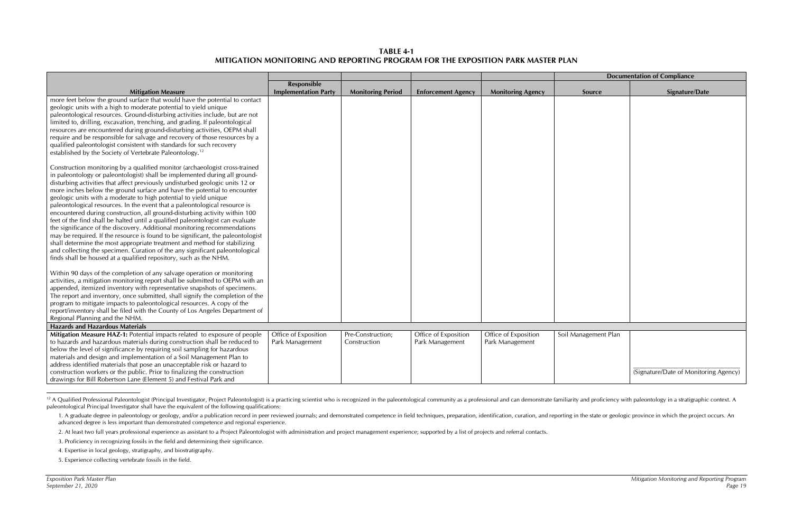## **TABLE 4-1 MITIGATION MONITORING AND REPORTING PROGRAM FOR THE EXPOSITION PARK MASTER PLAN**

|                                                                                                                                                                                                                                                                                                                                                                                                                                                                                                                                                                                                                                                                                                                                                                                                                                                                                                                                                                                                                                                                                                                                                                                                                                                                                                                                                                                                                                                                                                                     |                                         |                                   |                                         |                                         | <b>Documentation of Compliance</b> |                                       |
|---------------------------------------------------------------------------------------------------------------------------------------------------------------------------------------------------------------------------------------------------------------------------------------------------------------------------------------------------------------------------------------------------------------------------------------------------------------------------------------------------------------------------------------------------------------------------------------------------------------------------------------------------------------------------------------------------------------------------------------------------------------------------------------------------------------------------------------------------------------------------------------------------------------------------------------------------------------------------------------------------------------------------------------------------------------------------------------------------------------------------------------------------------------------------------------------------------------------------------------------------------------------------------------------------------------------------------------------------------------------------------------------------------------------------------------------------------------------------------------------------------------------|-----------------------------------------|-----------------------------------|-----------------------------------------|-----------------------------------------|------------------------------------|---------------------------------------|
|                                                                                                                                                                                                                                                                                                                                                                                                                                                                                                                                                                                                                                                                                                                                                                                                                                                                                                                                                                                                                                                                                                                                                                                                                                                                                                                                                                                                                                                                                                                     | Responsible                             |                                   |                                         |                                         |                                    |                                       |
| <b>Mitigation Measure</b>                                                                                                                                                                                                                                                                                                                                                                                                                                                                                                                                                                                                                                                                                                                                                                                                                                                                                                                                                                                                                                                                                                                                                                                                                                                                                                                                                                                                                                                                                           | <b>Implementation Party</b>             | <b>Monitoring Period</b>          | <b>Enforcement Agency</b>               | <b>Monitoring Agency</b>                | Source                             | Signature/Date                        |
| more feet below the ground surface that would have the potential to contact<br>geologic units with a high to moderate potential to yield unique<br>paleontological resources. Ground-disturbing activities include, but are not<br>limited to, drilling, excavation, trenching, and grading. If paleontological<br>resources are encountered during ground-disturbing activities, OEPM shall<br>require and be responsible for salvage and recovery of those resources by a<br>qualified paleontologist consistent with standards for such recovery<br>established by the Society of Vertebrate Paleontology. <sup>12</sup><br>Construction monitoring by a qualified monitor (archaeologist cross-trained<br>in paleontology or paleontologist) shall be implemented during all ground-<br>disturbing activities that affect previously undisturbed geologic units 12 or<br>more inches below the ground surface and have the potential to encounter<br>geologic units with a moderate to high potential to yield unique<br>paleontological resources. In the event that a paleontological resource is<br>encountered during construction, all ground-disturbing activity within 100<br>feet of the find shall be halted until a qualified paleontologist can evaluate<br>the significance of the discovery. Additional monitoring recommendations<br>may be required. If the resource is found to be significant, the paleontologist<br>shall determine the most appropriate treatment and method for stabilizing |                                         |                                   |                                         |                                         |                                    |                                       |
| and collecting the specimen. Curation of the any significant paleontological<br>finds shall be housed at a qualified repository, such as the NHM.                                                                                                                                                                                                                                                                                                                                                                                                                                                                                                                                                                                                                                                                                                                                                                                                                                                                                                                                                                                                                                                                                                                                                                                                                                                                                                                                                                   |                                         |                                   |                                         |                                         |                                    |                                       |
| Within 90 days of the completion of any salvage operation or monitoring<br>activities, a mitigation monitoring report shall be submitted to OEPM with an<br>appended, itemized inventory with representative snapshots of specimens.<br>The report and inventory, once submitted, shall signify the completion of the<br>program to mitigate impacts to paleontological resources. A copy of the<br>report/inventory shall be filed with the County of Los Angeles Department of<br>Regional Planning and the NHM.                                                                                                                                                                                                                                                                                                                                                                                                                                                                                                                                                                                                                                                                                                                                                                                                                                                                                                                                                                                                  |                                         |                                   |                                         |                                         |                                    |                                       |
| <b>Hazards and Hazardous Materials</b>                                                                                                                                                                                                                                                                                                                                                                                                                                                                                                                                                                                                                                                                                                                                                                                                                                                                                                                                                                                                                                                                                                                                                                                                                                                                                                                                                                                                                                                                              |                                         |                                   |                                         |                                         |                                    |                                       |
| Mitigation Measure HAZ-1: Potential impacts related to exposure of people<br>to hazards and hazardous materials during construction shall be reduced to<br>below the level of significance by requiring soil sampling for hazardous<br>materials and design and implementation of a Soil Management Plan to<br>address identified materials that pose an unacceptable risk or hazard to<br>construction workers or the public. Prior to finalizing the construction                                                                                                                                                                                                                                                                                                                                                                                                                                                                                                                                                                                                                                                                                                                                                                                                                                                                                                                                                                                                                                                 | Office of Exposition<br>Park Management | Pre-Construction;<br>Construction | Office of Exposition<br>Park Management | Office of Exposition<br>Park Management | Soil Management Plan               | (Signature/Date of Monitoring Agency) |
| drawings for Bill Robertson Lane (Element 5) and Festival Park and                                                                                                                                                                                                                                                                                                                                                                                                                                                                                                                                                                                                                                                                                                                                                                                                                                                                                                                                                                                                                                                                                                                                                                                                                                                                                                                                                                                                                                                  |                                         |                                   |                                         |                                         |                                    |                                       |

<sup>&</sup>lt;sup>12</sup> A Qualified Professional Paleontologist (Principal Investigator, Project Paleontologist) is a practicing scientist who is recognized in the paleontological community as a professional and can demonstrate familiarity a paleontological Principal Investigator shall have the equivalent of the following qualifications:

<sup>1.</sup> A graduate degree in paleontology or geology, and/or a publication record in peer reviewed journals; and demonstrated competence in field techniques, preparation, identification, curation, and reporting in the state or advanced degree is less important than demonstrated competence and regional experience.

<sup>2.</sup> At least two full years professional experience as assistant to a Project Paleontologist with administration and project management experience; supported by a list of projects and referral contacts.

<sup>3.</sup> Proficiency in recognizing fossils in the field and determining their significance.

<sup>4.</sup> Expertise in local geology, stratigraphy, and biostratigraphy.

<sup>5.</sup> Experience collecting vertebrate fossils in the field.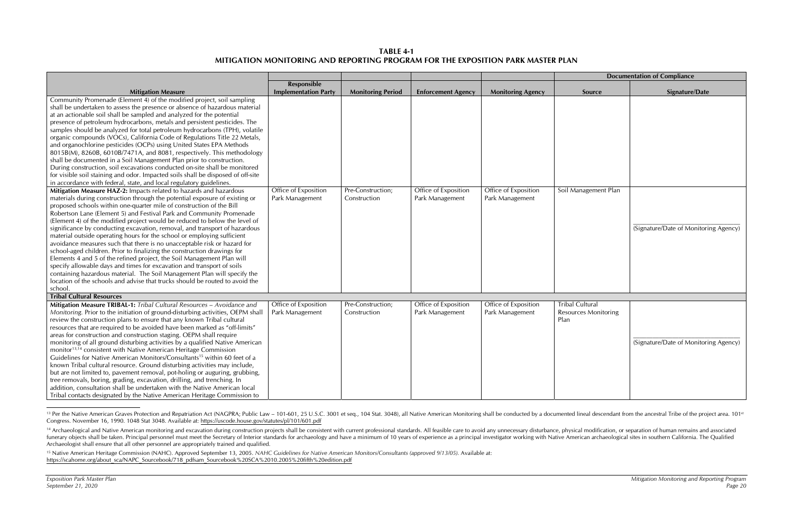| <b>Documentation of Compliance</b>                     |                                       |  |  |  |  |  |
|--------------------------------------------------------|---------------------------------------|--|--|--|--|--|
| Source                                                 | Signature/Date                        |  |  |  |  |  |
|                                                        |                                       |  |  |  |  |  |
| Soil Management Plan                                   | (Signature/Date of Monitoring Agency) |  |  |  |  |  |
| <b>Tribal Cultural</b><br>Resources Monitoring<br>Plan | (Signature/Date of Monitoring Agency) |  |  |  |  |  |

**TABLE 4-1 MITIGATION MONITORING AND REPORTING PROGRAM FOR THE EXPOSITION PARK MASTER PLAN** 

|                                                                                       |                             |                          |                           |                          |                             | <b>Documentation of Compliance</b> |
|---------------------------------------------------------------------------------------|-----------------------------|--------------------------|---------------------------|--------------------------|-----------------------------|------------------------------------|
|                                                                                       | Responsible                 |                          |                           |                          |                             |                                    |
| <b>Mitigation Measure</b>                                                             | <b>Implementation Party</b> | <b>Monitoring Period</b> | <b>Enforcement Agency</b> | <b>Monitoring Agency</b> | Source                      | <b>Signature/Date</b>              |
| Community Promenade (Element 4) of the modified project, soil sampling                |                             |                          |                           |                          |                             |                                    |
| shall be undertaken to assess the presence or absence of hazardous material           |                             |                          |                           |                          |                             |                                    |
| at an actionable soil shall be sampled and analyzed for the potential                 |                             |                          |                           |                          |                             |                                    |
| presence of petroleum hydrocarbons, metals and persistent pesticides. The             |                             |                          |                           |                          |                             |                                    |
| samples should be analyzed for total petroleum hydrocarbons (TPH), volatile           |                             |                          |                           |                          |                             |                                    |
| organic compounds (VOCs), California Code of Regulations Title 22 Metals,             |                             |                          |                           |                          |                             |                                    |
| and organochlorine pesticides (OCPs) using United States EPA Methods                  |                             |                          |                           |                          |                             |                                    |
| 8015B(M), 8260B, 6010B/7471A, and 8081, respectively. This methodology                |                             |                          |                           |                          |                             |                                    |
| shall be documented in a Soil Management Plan prior to construction.                  |                             |                          |                           |                          |                             |                                    |
| During construction, soil excavations conducted on-site shall be monitored            |                             |                          |                           |                          |                             |                                    |
| for visible soil staining and odor. Impacted soils shall be disposed of off-site      |                             |                          |                           |                          |                             |                                    |
| in accordance with federal, state, and local regulatory guidelines.                   |                             |                          |                           |                          |                             |                                    |
| Mitigation Measure HAZ-2: Impacts related to hazards and hazardous                    | Office of Exposition        | Pre-Construction;        | Office of Exposition      | Office of Exposition     | Soil Management Plan        |                                    |
| materials during construction through the potential exposure of existing or           | Park Management             | Construction             | Park Management           | Park Management          |                             |                                    |
| proposed schools within one-quarter mile of construction of the Bill                  |                             |                          |                           |                          |                             |                                    |
| Robertson Lane (Element 5) and Festival Park and Community Promenade                  |                             |                          |                           |                          |                             |                                    |
| (Element 4) of the modified project would be reduced to below the level of            |                             |                          |                           |                          |                             |                                    |
| significance by conducting excavation, removal, and transport of hazardous            |                             |                          |                           |                          |                             | (Signature/Date of Monitorin       |
| material outside operating hours for the school or employing sufficient               |                             |                          |                           |                          |                             |                                    |
| avoidance measures such that there is no unacceptable risk or hazard for              |                             |                          |                           |                          |                             |                                    |
| school-aged children. Prior to finalizing the construction drawings for               |                             |                          |                           |                          |                             |                                    |
| Elements 4 and 5 of the refined project, the Soil Management Plan will                |                             |                          |                           |                          |                             |                                    |
| specify allowable days and times for excavation and transport of soils                |                             |                          |                           |                          |                             |                                    |
| containing hazardous material. The Soil Management Plan will specify the              |                             |                          |                           |                          |                             |                                    |
| location of the schools and advise that trucks should be routed to avoid the          |                             |                          |                           |                          |                             |                                    |
| school.                                                                               |                             |                          |                           |                          |                             |                                    |
| <b>Tribal Cultural Resources</b>                                                      |                             |                          |                           |                          |                             |                                    |
| Mitigation Measure TRIBAL-1: Tribal Cultural Resources - Avoidance and                | Office of Exposition        | Pre-Construction;        | Office of Exposition      | Office of Exposition     | <b>Tribal Cultural</b>      |                                    |
| Monitoring. Prior to the initiation of ground-disturbing activities, OEPM shall       | Park Management             | Construction             | Park Management           | Park Management          | <b>Resources Monitoring</b> |                                    |
| review the construction plans to ensure that any known Tribal cultural                |                             |                          |                           |                          | Plan                        |                                    |
| resources that are required to be avoided have been marked as "off-limits"            |                             |                          |                           |                          |                             |                                    |
| areas for construction and construction staging. OEPM shall require                   |                             |                          |                           |                          |                             |                                    |
| monitoring of all ground disturbing activities by a qualified Native American         |                             |                          |                           |                          |                             | (Signature/Date of Monitorin       |
| monitor <sup>13,14</sup> consistent with Native American Heritage Commission          |                             |                          |                           |                          |                             |                                    |
| Guidelines for Native American Monitors/Consultants <sup>15</sup> within 60 feet of a |                             |                          |                           |                          |                             |                                    |
| known Tribal cultural resource. Ground disturbing activities may include,             |                             |                          |                           |                          |                             |                                    |
| but are not limited to, pavement removal, pot-holing or auguring, grubbing,           |                             |                          |                           |                          |                             |                                    |
| tree removals, boring, grading, excavation, drilling, and trenching. In               |                             |                          |                           |                          |                             |                                    |
| addition, consultation shall be undertaken with the Native American local             |                             |                          |                           |                          |                             |                                    |
| Tribal contacts designated by the Native American Heritage Commission to              |                             |                          |                           |                          |                             |                                    |

<sup>&</sup>lt;sup>13</sup> Per the Native American Graves Protection and Repatriation Act (NAGPRA; Public Law - 101-601, 25 U.S.C. 3001 et seq., 104 Stat. 3048), all Native American Monitoring shall be conducted by a documented lineal descendan Congress. November 16, 1990. 1048 Stat 3048. Available at: https://uscode.house.gov/statutes/pl/101/601.pdf

<sup>&</sup>lt;sup>14</sup> Archaeological and Native American monitoring and excavation during construction projects shall be consistent with current professional standards. All feasible care to avoid any unnecessary disturbance, physical modif funerary objects shall be taken. Principal personnel must meet the Secretary of Interior standards for archaeology and have a minimum of 10 years of experience as a principal investigator working with Native American archa Archaeologist shall ensure that all other personnel are appropriately trained and qualified.

<sup>&</sup>lt;sup>15</sup> Native American Heritage Commission (NAHC). Approved September 13, 2005. NAHC Guidelines for Native American Monitors/Consultants (approved 9/13/05). Available at: https://scahome.org/about\_sca/NAPC\_Sourcebook/718\_pdfsam\_Sourcebook%20SCA%2010.2005%20fifth%20edition.pdf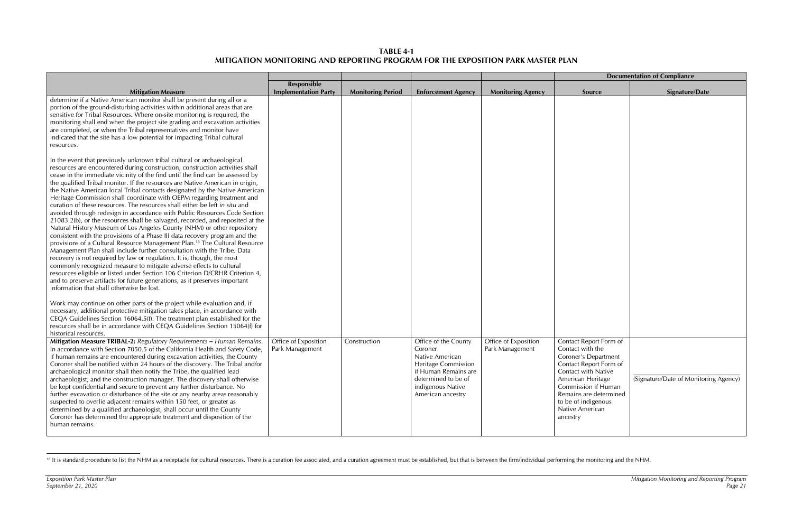**TABLE 4-1 MITIGATION MONITORING AND REPORTING PROGRAM FOR THE EXPOSITION PARK MASTER PLAN** 

|                                                                                                                                                                                                                                                                                                                                                                                                                                                                                                                                                                                                                                                                                                                                                                                                                                                                                                                                                                                                                                                                                                                                                                                                                                                                                                                                                                                                                            |                                                   |                          |                                                                                                                                                                           |                                         | <b>Documentation of Compliance</b>                                                                                                                                                                                                              |                                       |
|----------------------------------------------------------------------------------------------------------------------------------------------------------------------------------------------------------------------------------------------------------------------------------------------------------------------------------------------------------------------------------------------------------------------------------------------------------------------------------------------------------------------------------------------------------------------------------------------------------------------------------------------------------------------------------------------------------------------------------------------------------------------------------------------------------------------------------------------------------------------------------------------------------------------------------------------------------------------------------------------------------------------------------------------------------------------------------------------------------------------------------------------------------------------------------------------------------------------------------------------------------------------------------------------------------------------------------------------------------------------------------------------------------------------------|---------------------------------------------------|--------------------------|---------------------------------------------------------------------------------------------------------------------------------------------------------------------------|-----------------------------------------|-------------------------------------------------------------------------------------------------------------------------------------------------------------------------------------------------------------------------------------------------|---------------------------------------|
| <b>Mitigation Measure</b>                                                                                                                                                                                                                                                                                                                                                                                                                                                                                                                                                                                                                                                                                                                                                                                                                                                                                                                                                                                                                                                                                                                                                                                                                                                                                                                                                                                                  | <b>Responsible</b><br><b>Implementation Party</b> | <b>Monitoring Period</b> | <b>Enforcement Agency</b>                                                                                                                                                 | <b>Monitoring Agency</b>                | Source                                                                                                                                                                                                                                          | <b>Signature/Date</b>                 |
| determine if a Native American monitor shall be present during all or a<br>portion of the ground-disturbing activities within additional areas that are<br>sensitive for Tribal Resources. Where on-site monitoring is required, the<br>monitoring shall end when the project site grading and excavation activities<br>are completed, or when the Tribal representatives and monitor have<br>indicated that the site has a low potential for impacting Tribal cultural<br>resources.                                                                                                                                                                                                                                                                                                                                                                                                                                                                                                                                                                                                                                                                                                                                                                                                                                                                                                                                      |                                                   |                          |                                                                                                                                                                           |                                         |                                                                                                                                                                                                                                                 |                                       |
| In the event that previously unknown tribal cultural or archaeological<br>resources are encountered during construction, construction activities shall<br>cease in the immediate vicinity of the find until the find can be assessed by<br>the qualified Tribal monitor. If the resources are Native American in origin,<br>the Native American local Tribal contacts designated by the Native American<br>Heritage Commission shall coordinate with OEPM regarding treatment and<br>curation of these resources. The resources shall either be left in situ and<br>avoided through redesign in accordance with Public Resources Code Section<br>21083.2(b), or the resources shall be salvaged, recorded, and reposited at the<br>Natural History Museum of Los Angeles County (NHM) or other repository<br>consistent with the provisions of a Phase III data recovery program and the<br>provisions of a Cultural Resource Management Plan. <sup>16</sup> The Cultural Resource<br>Management Plan shall include further consultation with the Tribe. Data<br>recovery is not required by law or regulation. It is, though, the most<br>commonly recognized measure to mitigate adverse effects to cultural<br>resources eligible or listed under Section 106 Criterion D/CRHR Criterion 4,<br>and to preserve artifacts for future generations, as it preserves important<br>information that shall otherwise be lost. |                                                   |                          |                                                                                                                                                                           |                                         |                                                                                                                                                                                                                                                 |                                       |
| Work may continue on other parts of the project while evaluation and, if<br>necessary, additional protective mitigation takes place, in accordance with<br>CEQA Guidelines Section 16064.5(f). The treatment plan established for the<br>resources shall be in accordance with CEQA Guidelines Section 15064(f) for<br>historical resources.                                                                                                                                                                                                                                                                                                                                                                                                                                                                                                                                                                                                                                                                                                                                                                                                                                                                                                                                                                                                                                                                               |                                                   |                          |                                                                                                                                                                           |                                         |                                                                                                                                                                                                                                                 |                                       |
| Mitigation Measure TRIBAL-2: Regulatory Requirements - Human Remains.<br>In accordance with Section 7050.5 of the California Health and Safety Code,<br>if human remains are encountered during excavation activities, the County<br>Coroner shall be notified within 24 hours of the discovery. The Tribal and/or<br>archaeological monitor shall then notify the Tribe, the qualified lead<br>archaeologist, and the construction manager. The discovery shall otherwise<br>be kept confidential and secure to prevent any further disturbance. No<br>further excavation or disturbance of the site or any nearby areas reasonably<br>suspected to overlie adjacent remains within 150 feet, or greater as<br>determined by a qualified archaeologist, shall occur until the County<br>Coroner has determined the appropriate treatment and disposition of the<br>human remains.                                                                                                                                                                                                                                                                                                                                                                                                                                                                                                                                         | Office of Exposition<br>Park Management           | Construction             | Office of the County<br>Coroner<br>Native American<br><b>Heritage Commission</b><br>if Human Remains are<br>determined to be of<br>indigenous Native<br>American ancestry | Office of Exposition<br>Park Management | Contact Report Form of<br>Contact with the<br>Coroner's Department<br>Contact Report Form of<br>Contact with Native<br>American Heritage<br>Commission if Human<br>Remains are determined<br>to be of indigenous<br>Native American<br>ancestry | (Signature/Date of Monitoring Agency) |

<sup>&</sup>lt;sup>16</sup> It is standard procedure to list the NHM as a receptacle for cultural resources. There is a curation fee associated, and a curation agreement must be established, but that is between the firm/individual performing the